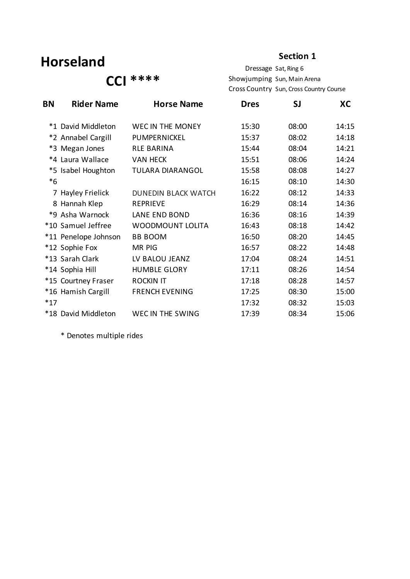### **Horseland**

#### **Section 1**

 **CCI \*\*\*\***

Dressage Sat, Ring 6 Showjumping Sun, Main Arena Cross Country Sun, Cross Country Course

| BN    | <b>Rider Name</b>    | <b>Horse Name</b>          | <b>Dres</b> | SJ    | <b>XC</b> |
|-------|----------------------|----------------------------|-------------|-------|-----------|
|       | *1 David Middleton   | WEC IN THE MONEY           | 15:30       | 08:00 | 14:15     |
|       | *2 Annabel Cargill   | PUMPERNICKEL               | 15:37       | 08:02 | 14:18     |
|       | *3 Megan Jones       | <b>RLE BARINA</b>          | 15:44       | 08:04 | 14:21     |
|       | *4 Laura Wallace     | <b>VAN HECK</b>            | 15:51       | 08:06 | 14:24     |
|       | *5 Isabel Houghton   | <b>TULARA DIARANGOL</b>    | 15:58       | 08:08 | 14:27     |
| $*6$  |                      |                            | 16:15       | 08:10 | 14:30     |
|       | 7 Hayley Frielick    | <b>DUNEDIN BLACK WATCH</b> | 16:22       | 08:12 | 14:33     |
|       | 8 Hannah Klep        | <b>REPRIEVE</b>            | 16:29       | 08:14 | 14:36     |
|       | *9 Asha Warnock      | LANE END BOND              | 16:36       | 08:16 | 14:39     |
|       | *10 Samuel Jeffree   | <b>WOODMOUNT LOLITA</b>    | 16:43       | 08:18 | 14:42     |
|       | *11 Penelope Johnson | <b>BB BOOM</b>             | 16:50       | 08:20 | 14:45     |
|       | *12 Sophie Fox       | <b>MR PIG</b>              | 16:57       | 08:22 | 14:48     |
|       | *13 Sarah Clark      | LV BALOU JEANZ             | 17:04       | 08:24 | 14:51     |
|       | *14 Sophia Hill      | <b>HUMBLE GLORY</b>        | 17:11       | 08:26 | 14:54     |
|       | *15 Courtney Fraser  | <b>ROCKIN IT</b>           | 17:18       | 08:28 | 14:57     |
|       | *16 Hamish Cargill   | <b>FRENCH EVENING</b>      | 17:25       | 08:30 | 15:00     |
| $*17$ |                      |                            | 17:32       | 08:32 | 15:03     |
|       | *18 David Middleton  | WEC IN THE SWING           | 17:39       | 08:34 | 15:06     |
|       |                      |                            |             |       |           |

\* Denotes multiple rides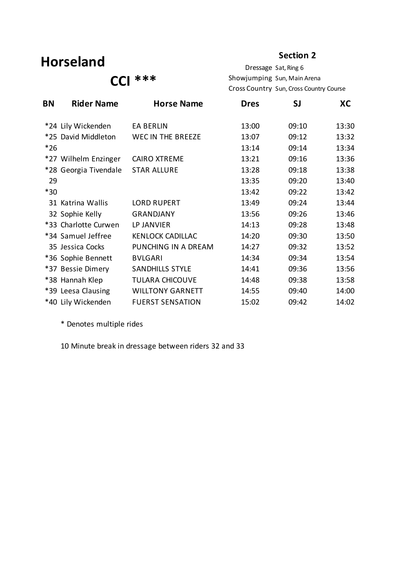### **Horseland**

#### **Section 2**

 **CCI \*\*\***

Dressage Sat, Ring 6 Showjumping Sun, Main Arena Cross Country Sun, Cross Country Course

| BN    | <b>Rider Name</b>     | <b>Horse Name</b>        | <b>Dres</b> | SJ    | XC    |
|-------|-----------------------|--------------------------|-------------|-------|-------|
|       | *24 Lily Wickenden    | <b>EA BERLIN</b>         | 13:00       | 09:10 | 13:30 |
|       | *25 David Middleton   | <b>WEC IN THE BREEZE</b> | 13:07       | 09:12 | 13:32 |
| $*26$ |                       |                          | 13:14       | 09:14 | 13:34 |
|       | *27 Wilhelm Enzinger  | <b>CAIRO XTREME</b>      | 13:21       | 09:16 | 13:36 |
|       | *28 Georgia Tivendale | <b>STAR ALLURE</b>       | 13:28       | 09:18 | 13:38 |
| 29    |                       |                          | 13:35       | 09:20 | 13:40 |
| $*30$ |                       |                          | 13:42       | 09:22 | 13:42 |
|       | 31 Katrina Wallis     | <b>LORD RUPERT</b>       | 13:49       | 09:24 | 13:44 |
|       | 32 Sophie Kelly       | <b>GRANDJANY</b>         | 13:56       | 09:26 | 13:46 |
|       | *33 Charlotte Curwen  | LP JANVIER               | 14:13       | 09:28 | 13:48 |
|       | *34 Samuel Jeffree    | <b>KENLOCK CADILLAC</b>  | 14:20       | 09:30 | 13:50 |
|       | 35 Jessica Cocks      | PUNCHING IN A DREAM      | 14:27       | 09:32 | 13:52 |
|       | *36 Sophie Bennett    | <b>BVLGARI</b>           | 14:34       | 09:34 | 13:54 |
|       | *37 Bessie Dimery     | <b>SANDHILLS STYLE</b>   | 14:41       | 09:36 | 13:56 |
|       | *38 Hannah Klep       | <b>TULARA CHICOUVE</b>   | 14:48       | 09:38 | 13:58 |
|       | *39 Leesa Clausing    | <b>WILLTONY GARNETT</b>  | 14:55       | 09:40 | 14:00 |
|       | *40 Lily Wickenden    | <b>FUERST SENSATION</b>  | 15:02       | 09:42 | 14:02 |

\* Denotes multiple rides

10 Minute break in dressage between riders 32 and 33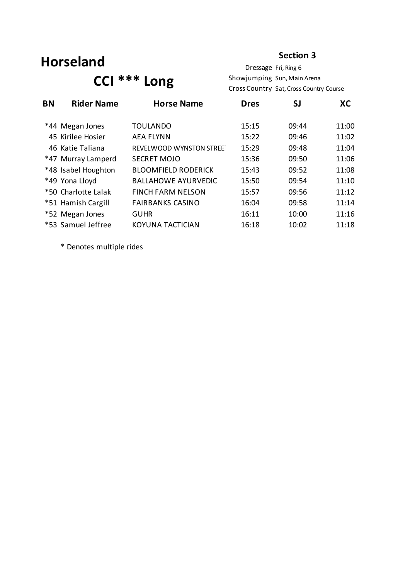### **Horseland**

#### **Section 3**

## **CCI \*\*\* Long**

Dressage Fri, Ring 6 Showjumping Sun, Main Arena Cross Country Sat, Cross Country Course

| <b>BN</b> | <b>Rider Name</b>   | <b>Horse Name</b>          | <b>Dres</b> | SJ    | XC    |
|-----------|---------------------|----------------------------|-------------|-------|-------|
|           | *44 Megan Jones     | <b>TOULANDO</b>            | 15:15       | 09:44 | 11:00 |
|           | 45 Kirilee Hosier   | <b>AEA FLYNN</b>           | 15:22       | 09:46 | 11:02 |
|           | 46 Katie Taliana    | REVELWOOD WYNSTON STREET   | 15:29       | 09:48 | 11:04 |
|           | *47 Murray Lamperd  | <b>SECRET MOJO</b>         | 15:36       | 09:50 | 11:06 |
|           | *48 Isabel Houghton | <b>BLOOMFIELD RODERICK</b> | 15:43       | 09:52 | 11:08 |
|           | *49 Yona Lloyd      | <b>BALLAHOWE AYURVEDIC</b> | 15:50       | 09:54 | 11:10 |
|           | *50 Charlotte Lalak | <b>FINCH FARM NELSON</b>   | 15:57       | 09:56 | 11:12 |
|           | *51 Hamish Cargill  | <b>FAIRBANKS CASINO</b>    | 16:04       | 09:58 | 11:14 |
|           | *52 Megan Jones     | <b>GUHR</b>                | 16:11       | 10:00 | 11:16 |
|           | *53 Samuel Jeffree  | KOYUNA TACTICIAN           | 16:18       | 10:02 | 11:18 |
|           |                     |                            |             |       |       |

\* Denotes multiple rides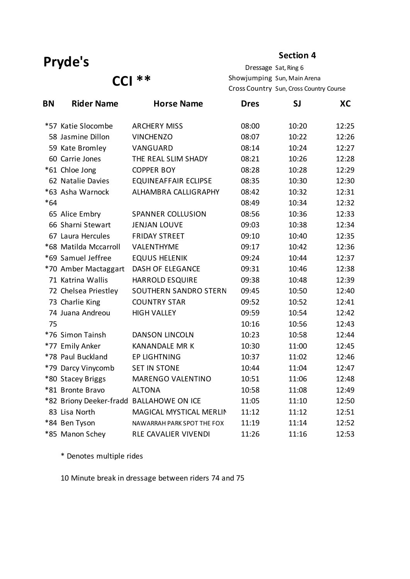#### **Section 4**

**CCI \*\***

Dressage Sat, Ring 6 Showjumping Sun, Main Arena Cross Country Sun, Cross Country Course

| <b>BN</b> | <b>Rider Name</b>                        | <b>Horse Name</b>           | <b>Dres</b> | SJ    | XC    |
|-----------|------------------------------------------|-----------------------------|-------------|-------|-------|
|           | *57 Katie Slocombe                       | <b>ARCHERY MISS</b>         | 08:00       | 10:20 | 12:25 |
|           | 58 Jasmine Dillon                        | <b>VINCHENZO</b>            | 08:07       | 10:22 | 12:26 |
|           | 59 Kate Bromley                          | VANGUARD                    | 08:14       | 10:24 | 12:27 |
|           | 60 Carrie Jones                          | THE REAL SLIM SHADY         | 08:21       | 10:26 | 12:28 |
|           | *61 Chloe Jong                           | <b>COPPER BOY</b>           | 08:28       | 10:28 | 12:29 |
|           | 62 Natalie Davies                        | <b>EQUINEAFFAIR ECLIPSE</b> | 08:35       | 10:30 | 12:30 |
|           | *63 Asha Warnock                         | ALHAMBRA CALLIGRAPHY        | 08:42       | 10:32 | 12:31 |
| $*64$     |                                          |                             | 08:49       | 10:34 | 12:32 |
|           | 65 Alice Embry                           | <b>SPANNER COLLUSION</b>    | 08:56       | 10:36 | 12:33 |
|           | 66 Sharni Stewart                        | <b>JENJAN LOUVE</b>         | 09:03       | 10:38 | 12:34 |
|           | 67 Laura Hercules                        | <b>FRIDAY STREET</b>        | 09:10       | 10:40 | 12:35 |
|           | *68 Matilda Mccarroll                    | VALENTHYME                  | 09:17       | 10:42 | 12:36 |
|           | *69 Samuel Jeffree                       | <b>EQUUS HELENIK</b>        | 09:24       | 10:44 | 12:37 |
|           | *70 Amber Mactaggart                     | <b>DASH OF ELEGANCE</b>     | 09:31       | 10:46 | 12:38 |
|           | 71 Katrina Wallis                        | <b>HARROLD ESQUIRE</b>      | 09:38       | 10:48 | 12:39 |
|           | 72 Chelsea Priestley                     | SOUTHERN SANDRO STERN       | 09:45       | 10:50 | 12:40 |
|           | 73 Charlie King                          | <b>COUNTRY STAR</b>         | 09:52       | 10:52 | 12:41 |
|           | 74 Juana Andreou                         | <b>HIGH VALLEY</b>          | 09:59       | 10:54 | 12:42 |
| 75        |                                          |                             | 10:16       | 10:56 | 12:43 |
|           | *76 Simon Tainsh                         | <b>DANSON LINCOLN</b>       | 10:23       | 10:58 | 12:44 |
|           | *77 Emily Anker                          | <b>KANANDALE MR K</b>       | 10:30       | 11:00 | 12:45 |
|           | *78 Paul Buckland                        | <b>EP LIGHTNING</b>         | 10:37       | 11:02 | 12:46 |
|           | *79 Darcy Vinycomb                       | <b>SET IN STONE</b>         | 10:44       | 11:04 | 12:47 |
|           | *80 Stacey Briggs                        | <b>MARENGO VALENTINO</b>    | 10:51       | 11:06 | 12:48 |
|           | *81 Bronte Bravo                         | <b>ALTONA</b>               | 10:58       | 11:08 | 12:49 |
|           | *82 Briony Deeker-fradd BALLAHOWE ON ICE |                             | 11:05       | 11:10 | 12:50 |
|           | 83 Lisa North                            | MAGICAL MYSTICAL MERLIN     | 11:12       | 11:12 | 12:51 |
|           | *84 Ben Tyson                            | NAWARRAH PARK SPOT THE FOX  | 11:19       | 11:14 | 12:52 |
|           | *85 Manon Schey                          | RLE CAVALIER VIVENDI        | 11:26       | 11:16 | 12:53 |

\* Denotes multiple rides

10 Minute break in dressage between riders 74 and 75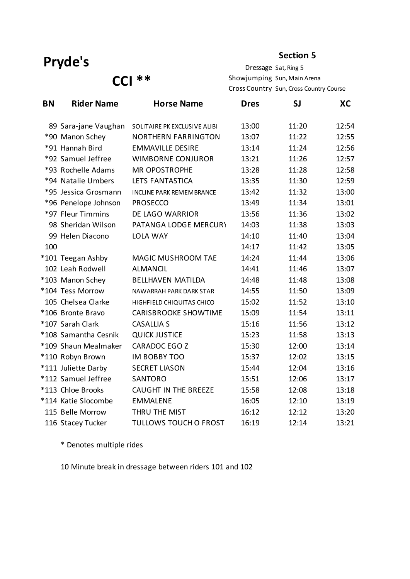#### **Section 5**

**CCI \*\***

Dressage Sat, Ring 5 Showjumping Sun, Main Arena Cross Country Sun, Cross Country Course

| <b>BN</b> | <b>Rider Name</b>    | <b>Horse Name</b>               | <b>Dres</b> | SJ    | XC    |
|-----------|----------------------|---------------------------------|-------------|-------|-------|
|           | 89 Sara-jane Vaughan | SOLITAIRE PK EXCLUSIVE ALIBI    | 13:00       | 11:20 | 12:54 |
|           | *90 Manon Schey      | <b>NORTHERN FARRINGTON</b>      | 13:07       | 11:22 | 12:55 |
|           | *91 Hannah Bird      | <b>EMMAVILLE DESIRE</b>         | 13:14       | 11:24 | 12:56 |
|           | *92 Samuel Jeffree   | <b>WIMBORNE CONJUROR</b>        | 13:21       | 11:26 | 12:57 |
|           | *93 Rochelle Adams   | <b>MR OPOSTROPHE</b>            | 13:28       | 11:28 | 12:58 |
|           | *94 Natalie Umbers   | LETS FANTASTICA                 | 13:35       | 11:30 | 12:59 |
|           | *95 Jessica Grosmann | <b>INCLINE PARK REMEMBRANCE</b> | 13:42       | 11:32 | 13:00 |
|           | *96 Penelope Johnson | <b>PROSECCO</b>                 | 13:49       | 11:34 | 13:01 |
|           | *97 Fleur Timmins    | DE LAGO WARRIOR                 | 13:56       | 11:36 | 13:02 |
|           | 98 Sheridan Wilson   | PATANGA LODGE MERCURY           | 14:03       | 11:38 | 13:03 |
|           | 99 Helen Diacono     | <b>LOLA WAY</b>                 | 14:10       | 11:40 | 13:04 |
| 100       |                      |                                 | 14:17       | 11:42 | 13:05 |
|           | *101 Teegan Ashby    | MAGIC MUSHROOM TAE              | 14:24       | 11:44 | 13:06 |
|           | 102 Leah Rodwell     | <b>ALMANCIL</b>                 | 14:41       | 11:46 | 13:07 |
|           | *103 Manon Schey     | <b>BELLHAVEN MATILDA</b>        | 14:48       | 11:48 | 13:08 |
|           | *104 Tess Morrow     | NAWARRAH PARK DARK STAR         | 14:55       | 11:50 | 13:09 |
|           | 105 Chelsea Clarke   | HIGHFIELD CHIQUITAS CHICO       | 15:02       | 11:52 | 13:10 |
|           | *106 Bronte Bravo    | <b>CARISBROOKE SHOWTIME</b>     | 15:09       | 11:54 | 13:11 |
|           | *107 Sarah Clark     | <b>CASALLIA S</b>               | 15:16       | 11:56 | 13:12 |
|           | *108 Samantha Cesnik | <b>QUICK JUSTICE</b>            | 15:23       | 11:58 | 13:13 |
|           | *109 Shaun Mealmaker | <b>CARADOC EGO Z</b>            | 15:30       | 12:00 | 13:14 |
|           | *110 Robyn Brown     | <b>IM BOBBY TOO</b>             | 15:37       | 12:02 | 13:15 |
|           | *111 Juliette Darby  | <b>SECRET LIASON</b>            | 15:44       | 12:04 | 13:16 |
|           | *112 Samuel Jeffree  | <b>SANTORO</b>                  | 15:51       | 12:06 | 13:17 |
|           | *113 Chloe Brooks    | <b>CAUGHT IN THE BREEZE</b>     | 15:58       | 12:08 | 13:18 |
|           | *114 Katie Slocombe  | <b>EMMALENE</b>                 | 16:05       | 12:10 | 13:19 |
|           | 115 Belle Morrow     | THRU THE MIST                   | 16:12       | 12:12 | 13:20 |
|           | 116 Stacey Tucker    | <b>TULLOWS TOUCH O FROST</b>    | 16:19       | 12:14 | 13:21 |

\* Denotes multiple rides

10 Minute break in dressage between riders 101 and 102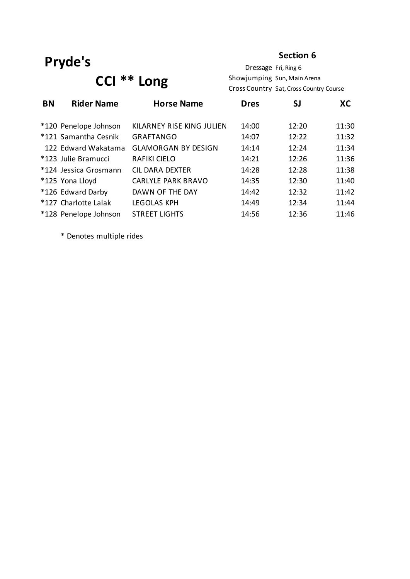#### **Section 6**

# **CCI \*\* Long**

Dressage Fri, Ring 6 Showjumping Sun, Main Arena Cross Country Sat, Cross Country Course

| <b>BN</b> | <b>Rider Name</b>     | <b>Horse Name</b>          | <b>Dres</b> | <b>SJ</b> | XC    |
|-----------|-----------------------|----------------------------|-------------|-----------|-------|
|           | *120 Penelope Johnson | KILARNEY RISE KING JULIEN  | 14:00       | 12:20     | 11:30 |
|           | *121 Samantha Cesnik  | <b>GRAFTANGO</b>           | 14:07       | 12:22     | 11:32 |
|           | 122 Edward Wakatama   | <b>GLAMORGAN BY DESIGN</b> | 14:14       | 12:24     | 11:34 |
|           | *123 Julie Bramucci   | <b>RAFIKI CIELO</b>        | 14:21       | 12:26     | 11:36 |
|           | *124 Jessica Grosmann | <b>CIL DARA DEXTER</b>     | 14:28       | 12:28     | 11:38 |
|           | *125 Yona Lloyd       | <b>CARLYLE PARK BRAVO</b>  | 14:35       | 12:30     | 11:40 |
|           | *126 Edward Darby     | DAWN OF THE DAY            | 14:42       | 12:32     | 11:42 |
|           | *127 Charlotte Lalak  | <b>LEGOLAS KPH</b>         | 14:49       | 12:34     | 11:44 |
|           | *128 Penelope Johnson | <b>STREET LIGHTS</b>       | 14:56       | 12:36     | 11:46 |

\* Denotes multiple rides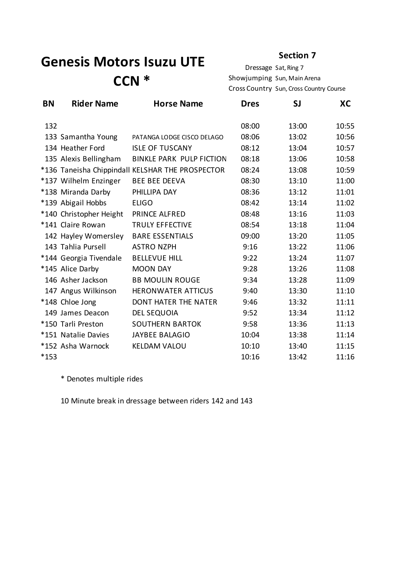## **Genesis Motors Isuzu UTE CCN \***

#### **Section 7**

Dressage Sat, Ring 7 Showjumping Sun, Main Arena Cross Country Sun, Cross Country Course

| <b>BN</b> | <b>Rider Name</b>       | <b>Horse Name</b>                                | <b>Dres</b> | SJ    | XC    |
|-----------|-------------------------|--------------------------------------------------|-------------|-------|-------|
| 132       |                         |                                                  | 08:00       | 13:00 | 10:55 |
|           | 133 Samantha Young      | PATANGA LODGE CISCO DELAGO                       | 08:06       | 13:02 | 10:56 |
|           | 134 Heather Ford        | <b>ISLE OF TUSCANY</b>                           | 08:12       | 13:04 | 10:57 |
|           | 135 Alexis Bellingham   | <b>BINKLE PARK PULP FICTION</b>                  | 08:18       | 13:06 | 10:58 |
|           |                         | *136 Taneisha Chippindall KELSHAR THE PROSPECTOR | 08:24       | 13:08 | 10:59 |
|           | *137 Wilhelm Enzinger   | <b>BEE BEE DEEVA</b>                             | 08:30       | 13:10 | 11:00 |
|           | *138 Miranda Darby      | PHILLIPA DAY                                     | 08:36       | 13:12 | 11:01 |
|           | *139 Abigail Hobbs      | <b>ELIGO</b>                                     | 08:42       | 13:14 | 11:02 |
|           | *140 Christopher Height | PRINCE ALFRED                                    | 08:48       | 13:16 | 11:03 |
|           | *141 Claire Rowan       | <b>TRULY EFFECTIVE</b>                           | 08:54       | 13:18 | 11:04 |
|           | 142 Hayley Womersley    | <b>BARE ESSENTIALS</b>                           | 09:00       | 13:20 | 11:05 |
|           | 143 Tahlia Pursell      | <b>ASTRO NZPH</b>                                | 9:16        | 13:22 | 11:06 |
|           | *144 Georgia Tivendale  | <b>BELLEVUE HILL</b>                             | 9:22        | 13:24 | 11:07 |
|           | *145 Alice Darby        | <b>MOON DAY</b>                                  | 9:28        | 13:26 | 11:08 |
|           | 146 Asher Jackson       | <b>BB MOULIN ROUGE</b>                           | 9:34        | 13:28 | 11:09 |
|           | 147 Angus Wilkinson     | <b>HERONWATER ATTICUS</b>                        | 9:40        | 13:30 | 11:10 |
|           | *148 Chloe Jong         | <b>DONT HATER THE NATER</b>                      | 9:46        | 13:32 | 11:11 |
|           | 149 James Deacon        | <b>DEL SEQUOIA</b>                               | 9:52        | 13:34 | 11:12 |
|           | *150 Tarli Preston      | <b>SOUTHERN BARTOK</b>                           | 9:58        | 13:36 | 11:13 |
|           | *151 Natalie Davies     | <b>JAYBEE BALAGIO</b>                            | 10:04       | 13:38 | 11:14 |
|           | *152 Asha Warnock       | <b>KELDAM VALOU</b>                              | 10:10       | 13:40 | 11:15 |
| *153      |                         |                                                  | 10:16       | 13:42 | 11:16 |

\* Denotes multiple rides

10 Minute break in dressage between riders 142 and 143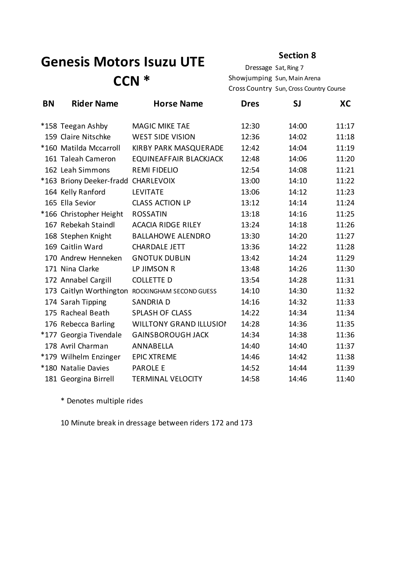## **Genesis Motors Isuzu UTE CCN \***

#### **Section 8**

Dressage Sat, Ring 7 Showjumping Sun, Main Arena Cross Country Sun, Cross Country Course

| <b>BN</b> | <b>Rider Name</b>                   | <b>Horse Name</b>                               | <b>Dres</b> | SJ    | XC    |
|-----------|-------------------------------------|-------------------------------------------------|-------------|-------|-------|
|           | *158 Teegan Ashby                   | <b>MAGIC MIKE TAE</b>                           | 12:30       | 14:00 | 11:17 |
|           | 159 Claire Nitschke                 | <b>WEST SIDE VISION</b>                         | 12:36       | 14:02 | 11:18 |
|           | *160 Matilda Mccarroll              | KIRBY PARK MASQUERADE                           | 12:42       | 14:04 | 11:19 |
|           | 161 Taleah Cameron                  | EQUINEAFFAIR BLACKJACK                          | 12:48       | 14:06 | 11:20 |
|           | 162 Leah Simmons                    | <b>REMI FIDELIO</b>                             | 12:54       | 14:08 | 11:21 |
|           | *163 Briony Deeker-fradd CHARLEVOIX |                                                 | 13:00       | 14:10 | 11:22 |
|           | 164 Kelly Ranford                   | <b>LEVITATE</b>                                 | 13:06       | 14:12 | 11:23 |
|           | 165 Ella Sevior                     | <b>CLASS ACTION LP</b>                          | 13:12       | 14:14 | 11:24 |
|           | *166 Christopher Height             | <b>ROSSATIN</b>                                 | 13:18       | 14:16 | 11:25 |
|           | 167 Rebekah Staindl                 | <b>ACACIA RIDGE RILEY</b>                       | 13:24       | 14:18 | 11:26 |
|           | 168 Stephen Knight                  | <b>BALLAHOWE ALENDRO</b>                        | 13:30       | 14:20 | 11:27 |
|           | 169 Caitlin Ward                    | <b>CHARDALE JETT</b>                            | 13:36       | 14:22 | 11:28 |
|           | 170 Andrew Henneken                 | <b>GNOTUK DUBLIN</b>                            | 13:42       | 14:24 | 11:29 |
|           | 171 Nina Clarke                     | LP JIMSON R                                     | 13:48       | 14:26 | 11:30 |
|           | 172 Annabel Cargill                 | <b>COLLETTE D</b>                               | 13:54       | 14:28 | 11:31 |
|           |                                     | 173 Caitlyn Worthington ROCKINGHAM SECOND GUESS | 14:10       | 14:30 | 11:32 |
|           | 174 Sarah Tipping                   | <b>SANDRIAD</b>                                 | 14:16       | 14:32 | 11:33 |
|           | 175 Racheal Beath                   | <b>SPLASH OF CLASS</b>                          | 14:22       | 14:34 | 11:34 |
|           | 176 Rebecca Barling                 | <b>WILLTONY GRAND ILLUSION</b>                  | 14:28       | 14:36 | 11:35 |
|           | *177 Georgia Tivendale              | <b>GAINSBOROUGH JACK</b>                        | 14:34       | 14:38 | 11:36 |
|           | 178 Avril Charman                   | ANNABELLA                                       | 14:40       | 14:40 | 11:37 |
|           | *179 Wilhelm Enzinger               | <b>EPIC XTREME</b>                              | 14:46       | 14:42 | 11:38 |
|           | *180 Natalie Davies                 | <b>PAROLE E</b>                                 | 14:52       | 14:44 | 11:39 |
|           | 181 Georgina Birrell                | <b>TERMINAL VELOCITY</b>                        | 14:58       | 14:46 | 11:40 |

\* Denotes multiple rides

10 Minute break in dressage between riders 172 and 173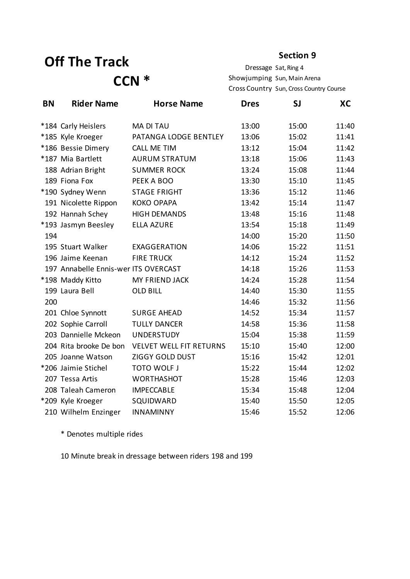## **Off The Track CCN \***

#### **Section 9**

Dressage Sat, Ring 4 Showjumping Sun, Main Arena Cross Country Sun, Cross Country Course

| <b>BN</b> | <b>Rider Name</b>                    | <b>Horse Name</b>              | <b>Dres</b> | <b>SJ</b> | XC    |
|-----------|--------------------------------------|--------------------------------|-------------|-----------|-------|
|           | *184 Carly Heislers                  | <b>MA DI TAU</b>               | 13:00       | 15:00     | 11:40 |
|           | *185 Kyle Kroeger                    | PATANGA LODGE BENTLEY          | 13:06       | 15:02     | 11:41 |
|           | *186 Bessie Dimery                   | <b>CALL ME TIM</b>             | 13:12       | 15:04     | 11:42 |
|           | *187 Mia Bartlett                    | <b>AURUM STRATUM</b>           | 13:18       | 15:06     | 11:43 |
|           | 188 Adrian Bright                    | <b>SUMMER ROCK</b>             | 13:24       | 15:08     | 11:44 |
|           | 189 Fiona Fox                        | PEEK A BOO                     | 13:30       | 15:10     | 11:45 |
|           | *190 Sydney Wenn                     | <b>STAGE FRIGHT</b>            | 13:36       | 15:12     | 11:46 |
|           | 191 Nicolette Rippon                 | <b>KOKO OPAPA</b>              | 13:42       | 15:14     | 11:47 |
|           | 192 Hannah Schey                     | <b>HIGH DEMANDS</b>            | 13:48       | 15:16     | 11:48 |
|           | *193 Jasmyn Beesley                  | <b>ELLA AZURE</b>              | 13:54       | 15:18     | 11:49 |
| 194       |                                      |                                | 14:00       | 15:20     | 11:50 |
|           | 195 Stuart Walker                    | <b>EXAGGERATION</b>            | 14:06       | 15:22     | 11:51 |
|           | 196 Jaime Keenan                     | <b>FIRE TRUCK</b>              | 14:12       | 15:24     | 11:52 |
|           | 197 Annabelle Ennis-wer ITS OVERCAST |                                | 14:18       | 15:26     | 11:53 |
|           | *198 Maddy Kitto                     | MY FRIEND JACK                 | 14:24       | 15:28     | 11:54 |
|           | 199 Laura Bell                       | <b>OLD BILL</b>                | 14:40       | 15:30     | 11:55 |
| 200       |                                      |                                | 14:46       | 15:32     | 11:56 |
|           | 201 Chloe Synnott                    | <b>SURGE AHEAD</b>             | 14:52       | 15:34     | 11:57 |
|           | 202 Sophie Carroll                   | <b>TULLY DANCER</b>            | 14:58       | 15:36     | 11:58 |
|           | 203 Dannielle Mckeon                 | <b>UNDERSTUDY</b>              | 15:04       | 15:38     | 11:59 |
|           | 204 Rita brooke De bon               | <b>VELVET WELL FIT RETURNS</b> | 15:10       | 15:40     | 12:00 |
|           | 205 Joanne Watson                    | ZIGGY GOLD DUST                | 15:16       | 15:42     | 12:01 |
|           | *206 Jaimie Stichel                  | TOTO WOLF J                    | 15:22       | 15:44     | 12:02 |
|           | 207 Tessa Artis                      | <b>WORTHASHOT</b>              | 15:28       | 15:46     | 12:03 |
|           | 208 Taleah Cameron                   | <b>IMPECCABLE</b>              | 15:34       | 15:48     | 12:04 |
|           | *209 Kyle Kroeger                    | SQUIDWARD                      | 15:40       | 15:50     | 12:05 |
|           | 210 Wilhelm Enzinger                 | <b>INNAMINNY</b>               | 15:46       | 15:52     | 12:06 |

\* Denotes multiple rides

10 Minute break in dressage between riders 198 and 199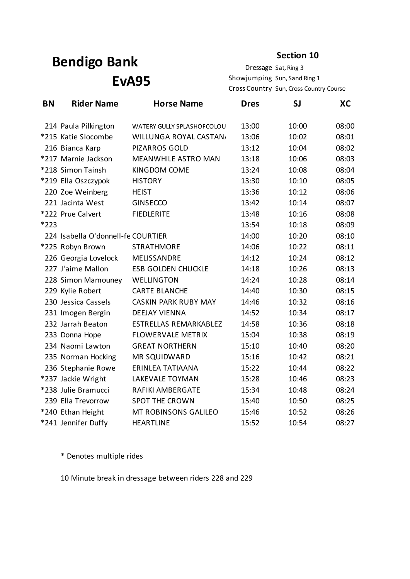#### **Section 10**

Dressage Sat, Ring 3 Showjumping Sun, Sand Ring 1 Cross Country Sun, Cross Country Course

| <b>BN</b> | <b>Rider Name</b>                  | <b>Horse Name</b>            | <b>Dres</b> | SJ    | XC    |
|-----------|------------------------------------|------------------------------|-------------|-------|-------|
|           | 214 Paula Pilkington               | WATERY GULLY SPLASHOFCOLOU   | 13:00       | 10:00 | 08:00 |
|           | *215 Katie Slocombe                | WILLUNGA ROYAL CASTAN/       | 13:06       | 10:02 | 08:01 |
|           | 216 Bianca Karp                    | <b>PIZARROS GOLD</b>         | 13:12       | 10:04 | 08:02 |
|           | *217 Marnie Jackson                | MEANWHILE ASTRO MAN          | 13:18       | 10:06 | 08:03 |
|           | *218 Simon Tainsh                  | KINGDOM COME                 | 13:24       | 10:08 | 08:04 |
|           | *219 Ella Oszczypok                | <b>HISTORY</b>               | 13:30       | 10:10 | 08:05 |
|           | 220 Zoe Weinberg                   | <b>HEIST</b>                 | 13:36       | 10:12 | 08:06 |
|           | 221 Jacinta West                   | <b>GINSECCO</b>              | 13:42       | 10:14 | 08:07 |
|           | *222 Prue Calvert                  | <b>FIEDLERITE</b>            | 13:48       | 10:16 | 08:08 |
| *223      |                                    |                              | 13:54       | 10:18 | 08:09 |
|           | 224 Isabella O'donnell-fe COURTIER |                              | 14:00       | 10:20 | 08:10 |
|           | *225 Robyn Brown                   | <b>STRATHMORE</b>            | 14:06       | 10:22 | 08:11 |
|           | 226 Georgia Lovelock               | MELISSANDRE                  | 14:12       | 10:24 | 08:12 |
|           | 227 J'aime Mallon                  | <b>ESB GOLDEN CHUCKLE</b>    | 14:18       | 10:26 | 08:13 |
|           | 228 Simon Mamouney                 | <b>WELLINGTON</b>            | 14:24       | 10:28 | 08:14 |
|           | 229 Kylie Robert                   | <b>CARTE BLANCHE</b>         | 14:40       | 10:30 | 08:15 |
|           | 230 Jessica Cassels                | <b>CASKIN PARK RUBY MAY</b>  | 14:46       | 10:32 | 08:16 |
|           | 231 Imogen Bergin                  | <b>DEEJAY VIENNA</b>         | 14:52       | 10:34 | 08:17 |
|           | 232 Jarrah Beaton                  | <b>ESTRELLAS REMARKABLEZ</b> | 14:58       | 10:36 | 08:18 |
|           | 233 Donna Hope                     | <b>FLOWERVALE METRIX</b>     | 15:04       | 10:38 | 08:19 |
|           | 234 Naomi Lawton                   | <b>GREAT NORTHERN</b>        | 15:10       | 10:40 | 08:20 |
|           | 235 Norman Hocking                 | MR SQUIDWARD                 | 15:16       | 10:42 | 08:21 |
|           | 236 Stephanie Rowe                 | ERINLEA TATIAANA             | 15:22       | 10:44 | 08:22 |
|           | *237 Jackie Wright                 | LAKEVALE TOYMAN              | 15:28       | 10:46 | 08:23 |
|           | *238 Julie Bramucci                | <b>RAFIKI AMBERGATE</b>      | 15:34       | 10:48 | 08:24 |
|           | 239 Ella Trevorrow                 | <b>SPOT THE CROWN</b>        | 15:40       | 10:50 | 08:25 |
|           | *240 Ethan Height                  | MT ROBINSONS GALILEO         | 15:46       | 10:52 | 08:26 |
|           | *241 Jennifer Duffy                | <b>HEARTLINE</b>             | 15:52       | 10:54 | 08:27 |

\* Denotes multiple rides

10 Minute break in dressage between riders 228 and 229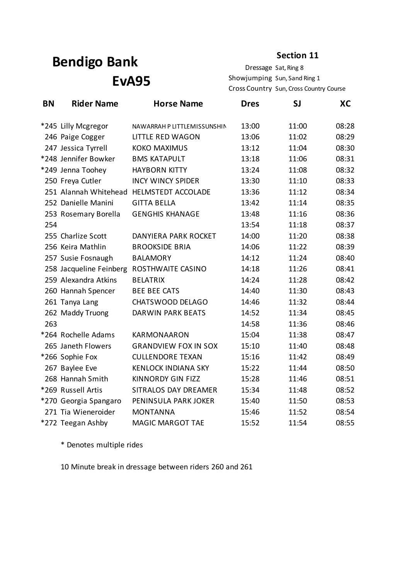**Section 11**

Dressage Sat, Ring 8 Showjumping Sun, Sand Ring 1 Cross Country Sun, Cross Country Course

| <b>BN</b> | <b>Rider Name</b>       | <b>Horse Name</b>           | <b>Dres</b> | <b>SJ</b> | XC    |
|-----------|-------------------------|-----------------------------|-------------|-----------|-------|
|           | *245 Lilly Mcgregor     | NAWARRAH P LITTLEMISSUNSHIN | 13:00       | 11:00     | 08:28 |
|           | 246 Paige Cogger        | <b>LITTLE RED WAGON</b>     | 13:06       | 11:02     | 08:29 |
|           | 247 Jessica Tyrrell     | <b>KOKO MAXIMUS</b>         | 13:12       | 11:04     | 08:30 |
|           | *248 Jennifer Bowker    | <b>BMS KATAPULT</b>         | 13:18       | 11:06     | 08:31 |
|           | *249 Jenna Toohey       | <b>HAYBORN KITTY</b>        | 13:24       | 11:08     | 08:32 |
|           | 250 Freya Cutler        | <b>INCY WINCY SPIDER</b>    | 13:30       | 11:10     | 08:33 |
|           | 251 Alannah Whitehead   | HELMSTEDT ACCOLADE          | 13:36       | 11:12     | 08:34 |
|           | 252 Danielle Manini     | <b>GITTA BELLA</b>          | 13:42       | 11:14     | 08:35 |
|           | 253 Rosemary Borella    | <b>GENGHIS KHANAGE</b>      | 13:48       | 11:16     | 08:36 |
| 254       |                         |                             | 13:54       | 11:18     | 08:37 |
|           | 255 Charlize Scott      | <b>DANYIERA PARK ROCKET</b> | 14:00       | 11:20     | 08:38 |
|           | 256 Keira Mathlin       | <b>BROOKSIDE BRIA</b>       | 14:06       | 11:22     | 08:39 |
|           | 257 Susie Fosnaugh      | <b>BALAMORY</b>             | 14:12       | 11:24     | 08:40 |
|           | 258 Jacqueline Feinberg | ROSTHWAITE CASINO           | 14:18       | 11:26     | 08:41 |
|           | 259 Alexandra Atkins    | <b>BELATRIX</b>             | 14:24       | 11:28     | 08:42 |
|           | 260 Hannah Spencer      | <b>BEE BEE CATS</b>         | 14:40       | 11:30     | 08:43 |
|           | 261 Tanya Lang          | CHATSWOOD DELAGO            | 14:46       | 11:32     | 08:44 |
|           | 262 Maddy Truong        | <b>DARWIN PARK BEATS</b>    | 14:52       | 11:34     | 08:45 |
| 263       |                         |                             | 14:58       | 11:36     | 08:46 |
|           | *264 Rochelle Adams     | <b>KARMONAARON</b>          | 15:04       | 11:38     | 08:47 |
|           | 265 Janeth Flowers      | <b>GRANDVIEW FOX IN SOX</b> | 15:10       | 11:40     | 08:48 |
|           | *266 Sophie Fox         | <b>CULLENDORE TEXAN</b>     | 15:16       | 11:42     | 08:49 |
|           | 267 Baylee Eve          | <b>KENLOCK INDIANA SKY</b>  | 15:22       | 11:44     | 08:50 |
|           | 268 Hannah Smith        | <b>KINNORDY GIN FIZZ</b>    | 15:28       | 11:46     | 08:51 |
|           | *269 Russell Artis      | SITRALOS DAY DREAMER        | 15:34       | 11:48     | 08:52 |
|           | *270 Georgia Spangaro   | PENINSULA PARK JOKER        | 15:40       | 11:50     | 08:53 |
|           | 271 Tia Wieneroider     | <b>MONTANNA</b>             | 15:46       | 11:52     | 08:54 |
|           | *272 Teegan Ashby       | <b>MAGIC MARGOT TAE</b>     | 15:52       | 11:54     | 08:55 |

\* Denotes multiple rides

10 Minute break in dressage between riders 260 and 261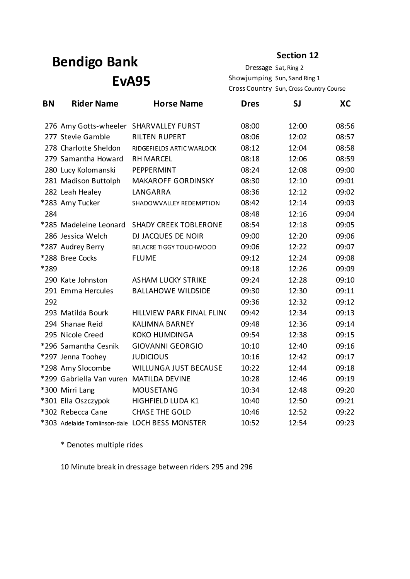**Section 12**

Dressage Sat, Ring 2 Showjumping Sun, Sand Ring 1 Cross Country Sun, Cross Country Course

| <b>BN</b> | <b>Rider Name</b>        | <b>Horse Name</b>                              | <b>Dres</b> | SJ    | XC    |
|-----------|--------------------------|------------------------------------------------|-------------|-------|-------|
|           |                          | 276 Amy Gotts-wheeler SHARVALLEY FURST         | 08:00       | 12:00 | 08:56 |
|           | 277 Stevie Gamble        | <b>RILTEN RUPERT</b>                           | 08:06       | 12:02 | 08:57 |
|           | 278 Charlotte Sheldon    | RIDGEFIELDS ARTIC WARLOCK                      | 08:12       | 12:04 | 08:58 |
|           | 279 Samantha Howard      | <b>RH MARCEL</b>                               | 08:18       | 12:06 | 08:59 |
|           | 280 Lucy Kolomanski      | PEPPERMINT                                     | 08:24       | 12:08 | 09:00 |
|           | 281 Madison Buttolph     | <b>MAKAROFF GORDINSKY</b>                      | 08:30       | 12:10 | 09:01 |
|           | 282 Leah Healey          | LANGARRA                                       | 08:36       | 12:12 | 09:02 |
|           | *283 Amy Tucker          | SHADOWVALLEY REDEMPTION                        | 08:42       | 12:14 | 09:03 |
| 284       |                          |                                                | 08:48       | 12:16 | 09:04 |
|           | *285 Madeleine Leonard   | <b>SHADY CREEK TOBLERONE</b>                   | 08:54       | 12:18 | 09:05 |
|           | 286 Jessica Welch        | DJ JACQUES DE NOIR                             | 09:00       | 12:20 | 09:06 |
|           | *287 Audrey Berry        | BELACRE TIGGY TOUCHWOOD                        | 09:06       | 12:22 | 09:07 |
|           | *288 Bree Cocks          | <b>FLUME</b>                                   | 09:12       | 12:24 | 09:08 |
| *289      |                          |                                                | 09:18       | 12:26 | 09:09 |
|           | 290 Kate Johnston        | <b>ASHAM LUCKY STRIKE</b>                      | 09:24       | 12:28 | 09:10 |
|           | 291 Emma Hercules        | <b>BALLAHOWE WILDSIDE</b>                      | 09:30       | 12:30 | 09:11 |
| 292       |                          |                                                | 09:36       | 12:32 | 09:12 |
|           | 293 Matilda Bourk        | HILLVIEW PARK FINAL FLINC                      | 09:42       | 12:34 | 09:13 |
|           | 294 Shanae Reid          | <b>KALIMNA BARNEY</b>                          | 09:48       | 12:36 | 09:14 |
|           | 295 Nicole Creed         | <b>KOKO HUMDINGA</b>                           | 09:54       | 12:38 | 09:15 |
|           | *296 Samantha Cesnik     | <b>GIOVANNI GEORGIO</b>                        | 10:10       | 12:40 | 09:16 |
|           | *297 Jenna Toohey        | <b>JUDICIOUS</b>                               | 10:16       | 12:42 | 09:17 |
|           | *298 Amy Slocombe        | <b>WILLUNGA JUST BECAUSE</b>                   | 10:22       | 12:44 | 09:18 |
|           | *299 Gabriella Van vuren | <b>MATILDA DEVINE</b>                          | 10:28       | 12:46 | 09:19 |
|           | *300 Mirri Lang          | <b>MOUSETANG</b>                               | 10:34       | 12:48 | 09:20 |
|           | *301 Ella Oszczypok      | HIGHFIELD LUDA K1                              | 10:40       | 12:50 | 09:21 |
|           | *302 Rebecca Cane        | <b>CHASE THE GOLD</b>                          | 10:46       | 12:52 | 09:22 |
|           |                          | *303 Adelaide Tomlinson-dale LOCH BESS MONSTER | 10:52       | 12:54 | 09:23 |

\* Denotes multiple rides

10 Minute break in dressage between riders 295 and 296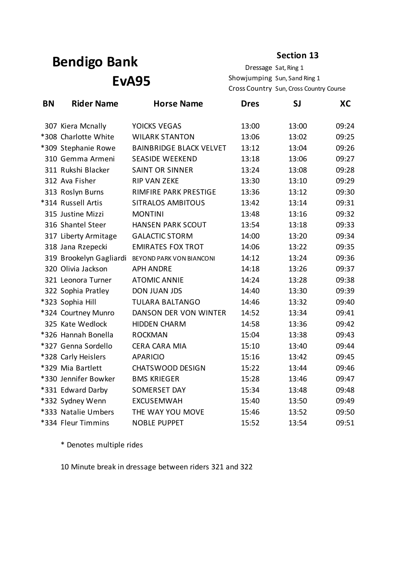**Section 13**

Dressage Sat, Ring 1 Showjumping Sun, Sand Ring 1 Cross Country Sun, Cross Country Course

| <b>BN</b> | <b>Rider Name</b>       | <b>Horse Name</b>              | <b>Dres</b> | SJ    | XC    |
|-----------|-------------------------|--------------------------------|-------------|-------|-------|
|           | 307 Kiera Mcnally       | YOICKS VEGAS                   | 13:00       | 13:00 | 09:24 |
|           | *308 Charlotte White    | <b>WILARK STANTON</b>          | 13:06       | 13:02 | 09:25 |
|           | *309 Stephanie Rowe     | <b>BAINBRIDGE BLACK VELVET</b> | 13:12       | 13:04 | 09:26 |
|           | 310 Gemma Armeni        | <b>SEASIDE WEEKEND</b>         | 13:18       | 13:06 | 09:27 |
|           | 311 Rukshi Blacker      | <b>SAINT OR SINNER</b>         | 13:24       | 13:08 | 09:28 |
|           | 312 Ava Fisher          | <b>RIP VAN ZEKE</b>            | 13:30       | 13:10 | 09:29 |
|           | 313 Roslyn Burns        | RIMFIRE PARK PRESTIGE          | 13:36       | 13:12 | 09:30 |
|           | *314 Russell Artis      | <b>SITRALOS AMBITOUS</b>       | 13:42       | 13:14 | 09:31 |
|           | 315 Justine Mizzi       | <b>MONTINI</b>                 | 13:48       | 13:16 | 09:32 |
|           | 316 Shantel Steer       | <b>HANSEN PARK SCOUT</b>       | 13:54       | 13:18 | 09:33 |
|           | 317 Liberty Armitage    | <b>GALACTIC STORM</b>          | 14:00       | 13:20 | 09:34 |
|           | 318 Jana Rzepecki       | <b>EMIRATES FOX TROT</b>       | 14:06       | 13:22 | 09:35 |
|           | 319 Brookelyn Gagliardi | BEYOND PARK VON BIANCONI       | 14:12       | 13:24 | 09:36 |
|           | 320 Olivia Jackson      | <b>APH ANDRE</b>               | 14:18       | 13:26 | 09:37 |
|           | 321 Leonora Turner      | <b>ATOMIC ANNIE</b>            | 14:24       | 13:28 | 09:38 |
|           | 322 Sophia Pratley      | <b>DON JUAN JDS</b>            | 14:40       | 13:30 | 09:39 |
|           | *323 Sophia Hill        | <b>TULARA BALTANGO</b>         | 14:46       | 13:32 | 09:40 |
|           | *324 Courtney Munro     | DANSON DER VON WINTER          | 14:52       | 13:34 | 09:41 |
|           | 325 Kate Wedlock        | <b>HIDDEN CHARM</b>            | 14:58       | 13:36 | 09:42 |
|           | *326 Hannah Bonella     | <b>ROCKMAN</b>                 | 15:04       | 13:38 | 09:43 |
|           | *327 Genna Sordello     | <b>CERA CARA MIA</b>           | 15:10       | 13:40 | 09:44 |
|           | *328 Carly Heislers     | <b>APARICIO</b>                | 15:16       | 13:42 | 09:45 |
|           | *329 Mia Bartlett       | <b>CHATSWOOD DESIGN</b>        | 15:22       | 13:44 | 09:46 |
|           | *330 Jennifer Bowker    | <b>BMS KRIEGER</b>             | 15:28       | 13:46 | 09:47 |
|           | *331 Edward Darby       | <b>SOMERSET DAY</b>            | 15:34       | 13:48 | 09:48 |
|           | *332 Sydney Wenn        | <b>EXCUSEMWAH</b>              | 15:40       | 13:50 | 09:49 |
|           | *333 Natalie Umbers     | THE WAY YOU MOVE               | 15:46       | 13:52 | 09:50 |
|           | *334 Fleur Timmins      | <b>NOBLE PUPPET</b>            | 15:52       | 13:54 | 09:51 |

\* Denotes multiple rides

10 Minute break in dressage between riders 321 and 322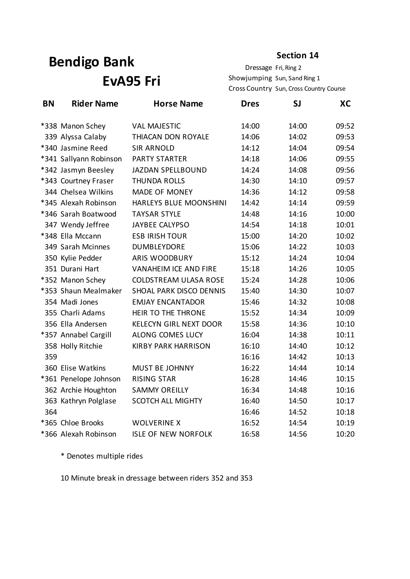# **Bendigo Bank EvA95 Fri**

Dressage Fri, Ring 2 Showjumping Sun, Sand Ring 1 **Section 14**

Cross Country Sun, Cross Country Course

| <b>BN</b> | <b>Rider Name</b>      | <b>Horse Name</b>             | <b>Dres</b> | SJ    | XC    |
|-----------|------------------------|-------------------------------|-------------|-------|-------|
|           | *338 Manon Schey       | <b>VAL MAJESTIC</b>           | 14:00       | 14:00 | 09:52 |
|           | 339 Alyssa Calaby      | THIACAN DON ROYALE            | 14:06       | 14:02 | 09:53 |
|           | *340 Jasmine Reed      | <b>SIR ARNOLD</b>             | 14:12       | 14:04 | 09:54 |
|           | *341 Sallyann Robinson | <b>PARTY STARTER</b>          | 14:18       | 14:06 | 09:55 |
|           | *342 Jasmyn Beesley    | <b>JAZDAN SPELLBOUND</b>      | 14:24       | 14:08 | 09:56 |
|           | *343 Courtney Fraser   | <b>THUNDA ROLLS</b>           | 14:30       | 14:10 | 09:57 |
|           | 344 Chelsea Wilkins    | <b>MADE OF MONEY</b>          | 14:36       | 14:12 | 09:58 |
|           | *345 Alexah Robinson   | HARLEYS BLUE MOONSHINI        | 14:42       | 14:14 | 09:59 |
|           | *346 Sarah Boatwood    | <b>TAYSAR STYLE</b>           | 14:48       | 14:16 | 10:00 |
|           | 347 Wendy Jeffree      | <b>JAYBEE CALYPSO</b>         | 14:54       | 14:18 | 10:01 |
|           | *348 Ella Mccann       | <b>ESB IRISH TOUR</b>         | 15:00       | 14:20 | 10:02 |
|           | 349 Sarah Mcinnes      | <b>DUMBLEYDORE</b>            | 15:06       | 14:22 | 10:03 |
|           | 350 Kylie Pedder       | <b>ARIS WOODBURY</b>          | 15:12       | 14:24 | 10:04 |
|           | 351 Durani Hart        | <b>VANAHEIM ICE AND FIRE</b>  | 15:18       | 14:26 | 10:05 |
|           | *352 Manon Schey       | <b>COLDSTREAM ULASA ROSE</b>  | 15:24       | 14:28 | 10:06 |
|           | *353 Shaun Mealmaker   | SHOAL PARK DISCO DENNIS       | 15:40       | 14:30 | 10:07 |
|           | 354 Madi Jones         | <b>EMJAY ENCANTADOR</b>       | 15:46       | 14:32 | 10:08 |
|           | 355 Charli Adams       | HEIR TO THE THRONE            | 15:52       | 14:34 | 10:09 |
|           | 356 Ella Andersen      | <b>KELECYN GIRL NEXT DOOR</b> | 15:58       | 14:36 | 10:10 |
|           | *357 Annabel Cargill   | ALONG COMES LUCY              | 16:04       | 14:38 | 10:11 |
|           | 358 Holly Ritchie      | <b>KIRBY PARK HARRISON</b>    | 16:10       | 14:40 | 10:12 |
| 359       |                        |                               | 16:16       | 14:42 | 10:13 |
|           | 360 Elise Watkins      | <b>MUST BE JOHNNY</b>         | 16:22       | 14:44 | 10:14 |
|           | *361 Penelope Johnson  | <b>RISING STAR</b>            | 16:28       | 14:46 | 10:15 |
|           | 362 Archie Houghton    | <b>SAMMY OREILLY</b>          | 16:34       | 14:48 | 10:16 |
|           | 363 Kathryn Polglase   | <b>SCOTCH ALL MIGHTY</b>      | 16:40       | 14:50 | 10:17 |
| 364       |                        |                               | 16:46       | 14:52 | 10:18 |
|           | *365 Chloe Brooks      | <b>WOLVERINE X</b>            | 16:52       | 14:54 | 10:19 |
|           | *366 Alexah Robinson   | <b>ISLE OF NEW NORFOLK</b>    | 16:58       | 14:56 | 10:20 |

\* Denotes multiple rides

10 Minute break in dressage between riders 352 and 353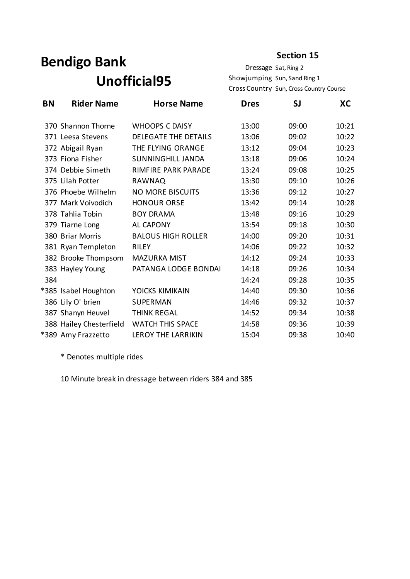# **Bendigo Bank Unofficial95**

Dressage Sat, Ring 2 Showjumping Sun, Sand Ring 1 Cross Country Sun, Cross Country Course

| <b>BN</b> | <b>Rider Name</b>       | <b>Horse Name</b>           | <b>Dres</b> | SJ    | XC    |
|-----------|-------------------------|-----------------------------|-------------|-------|-------|
|           | 370 Shannon Thorne      | <b>WHOOPS C DAISY</b>       | 13:00       | 09:00 | 10:21 |
|           | 371 Leesa Stevens       | <b>DELEGATE THE DETAILS</b> | 13:06       | 09:02 | 10:22 |
|           | 372 Abigail Ryan        | THE FLYING ORANGE           | 13:12       | 09:04 | 10:23 |
|           | 373 Fiona Fisher        | <b>SUNNINGHILL JANDA</b>    | 13:18       | 09:06 | 10:24 |
|           | 374 Debbie Simeth       | <b>RIMFIRE PARK PARADE</b>  | 13:24       | 09:08 | 10:25 |
|           | 375 Lilah Potter        | <b>RAWNAQ</b>               | 13:30       | 09:10 | 10:26 |
|           | 376 Phoebe Wilhelm      | <b>NO MORE BISCUITS</b>     | 13:36       | 09:12 | 10:27 |
|           | 377 Mark Voivodich      | <b>HONOUR ORSE</b>          | 13:42       | 09:14 | 10:28 |
|           | 378 Tahlia Tobin        | <b>BOY DRAMA</b>            | 13:48       | 09:16 | 10:29 |
|           | 379 Tiarne Long         | <b>AL CAPONY</b>            | 13:54       | 09:18 | 10:30 |
|           | 380 Briar Morris        | <b>BALOUS HIGH ROLLER</b>   | 14:00       | 09:20 | 10:31 |
|           | 381 Ryan Templeton      | <b>RILEY</b>                | 14:06       | 09:22 | 10:32 |
|           | 382 Brooke Thompsom     | <b>MAZURKA MIST</b>         | 14:12       | 09:24 | 10:33 |
|           | 383 Hayley Young        | PATANGA LODGE BONDAI        | 14:18       | 09:26 | 10:34 |
| 384       |                         |                             | 14:24       | 09:28 | 10:35 |
|           | *385 Isabel Houghton    | YOICKS KIMIKAIN             | 14:40       | 09:30 | 10:36 |
|           | 386 Lily O' brien       | SUPERMAN                    | 14:46       | 09:32 | 10:37 |
|           | 387 Shanyn Heuvel       | <b>THINK REGAL</b>          | 14:52       | 09:34 | 10:38 |
|           | 388 Hailey Chesterfield | <b>WATCH THIS SPACE</b>     | 14:58       | 09:36 | 10:39 |
|           | *389 Amy Frazzetto      | <b>LEROY THE LARRIKIN</b>   | 15:04       | 09:38 | 10:40 |

\* Denotes multiple rides

10 Minute break in dressage between riders 384 and 385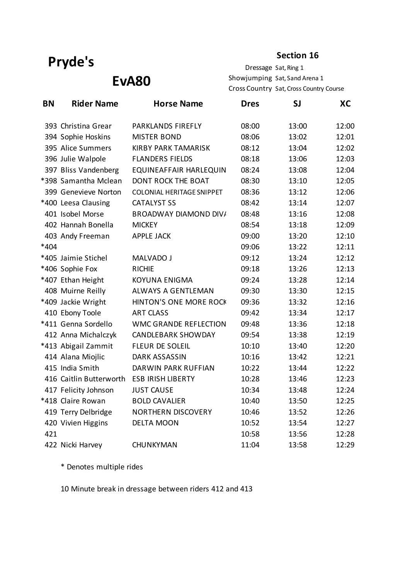#### **Section 16**

**EvA80**

Dressage Sat, Ring 1 Showjumping Sat, Sand Arena 1 Cross Country Sat, Cross Country Course

| <b>BN</b> | <b>Rider Name</b>       | <b>Horse Name</b>                | <b>Dres</b> | <b>SJ</b> | XC    |
|-----------|-------------------------|----------------------------------|-------------|-----------|-------|
|           | 393 Christina Grear     | PARKLANDS FIREFLY                | 08:00       | 13:00     | 12:00 |
|           | 394 Sophie Hoskins      | <b>MISTER BOND</b>               | 08:06       | 13:02     | 12:01 |
|           | 395 Alice Summers       | <b>KIRBY PARK TAMARISK</b>       | 08:12       | 13:04     | 12:02 |
|           | 396 Julie Walpole       | <b>FLANDERS FIELDS</b>           | 08:18       | 13:06     | 12:03 |
|           | 397 Bliss Vandenberg    | EQUINEAFFAIR HARLEQUIN           | 08:24       | 13:08     | 12:04 |
|           | *398 Samantha Mclean    | DONT ROCK THE BOAT               | 08:30       | 13:10     | 12:05 |
|           | 399 Genevieve Norton    | <b>COLONIAL HERITAGE SNIPPET</b> | 08:36       | 13:12     | 12:06 |
|           | *400 Leesa Clausing     | <b>CATALYST SS</b>               | 08:42       | 13:14     | 12:07 |
|           | 401 Isobel Morse        | <b>BROADWAY DIAMOND DIV/</b>     | 08:48       | 13:16     | 12:08 |
|           | 402 Hannah Bonella      | <b>MICKEY</b>                    | 08:54       | 13:18     | 12:09 |
|           | 403 Andy Freeman        | <b>APPLE JACK</b>                | 09:00       | 13:20     | 12:10 |
| *404      |                         |                                  | 09:06       | 13:22     | 12:11 |
|           | *405 Jaimie Stichel     | MALVADO J                        | 09:12       | 13:24     | 12:12 |
|           | *406 Sophie Fox         | <b>RICHIE</b>                    | 09:18       | 13:26     | 12:13 |
|           | *407 Ethan Height       | <b>KOYUNA ENIGMA</b>             | 09:24       | 13:28     | 12:14 |
|           | 408 Muirne Reilly       | ALWAYS A GENTLEMAN               | 09:30       | 13:30     | 12:15 |
|           | *409 Jackie Wright      | <b>HINTON'S ONE MORE ROCK</b>    | 09:36       | 13:32     | 12:16 |
|           | 410 Ebony Toole         | <b>ART CLASS</b>                 | 09:42       | 13:34     | 12:17 |
|           | *411 Genna Sordello     | <b>WMC GRANDE REFLECTION</b>     | 09:48       | 13:36     | 12:18 |
|           | 412 Anna Michalczyk     | <b>CANDLEBARK SHOWDAY</b>        | 09:54       | 13:38     | 12:19 |
|           | *413 Abigail Zammit     | <b>FLEUR DE SOLEIL</b>           | 10:10       | 13:40     | 12:20 |
|           | 414 Alana Miojlic       | <b>DARK ASSASSIN</b>             | 10:16       | 13:42     | 12:21 |
|           | 415 India Smith         | DARWIN PARK RUFFIAN              | 10:22       | 13:44     | 12:22 |
|           | 416 Caitlin Butterworth | <b>ESB IRISH LIBERTY</b>         | 10:28       | 13:46     | 12:23 |
|           | 417 Felicity Johnson    | <b>JUST CAUSE</b>                | 10:34       | 13:48     | 12:24 |
|           | *418 Claire Rowan       | <b>BOLD CAVALIER</b>             | 10:40       | 13:50     | 12:25 |
|           | 419 Terry Delbridge     | <b>NORTHERN DISCOVERY</b>        | 10:46       | 13:52     | 12:26 |
|           | 420 Vivien Higgins      | <b>DELTA MOON</b>                | 10:52       | 13:54     | 12:27 |
| 421       |                         |                                  | 10:58       | 13:56     | 12:28 |
|           | 422 Nicki Harvey        | CHUNKYMAN                        | 11:04       | 13:58     | 12:29 |

\* Denotes multiple rides

10 Minute break in dressage between riders 412 and 413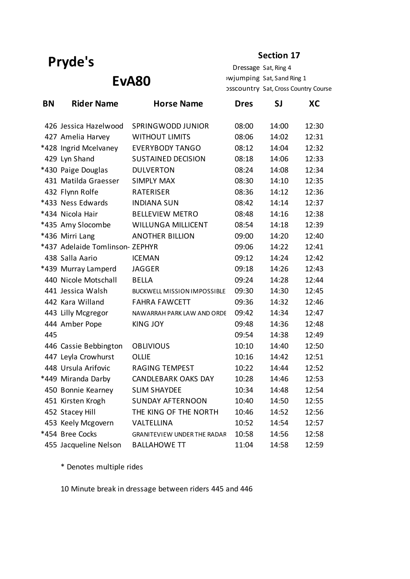#### **Section 17**

**EvA80**

Dressage Sat, Ring 4 Showjumping Sat, Sand Ring 1 DSSCOUNTry Sat, Cross Country Course

| <b>BN</b> | <b>Rider Name</b>               | <b>Horse Name</b>                  | <b>Dres</b> | SJ    | XC    |
|-----------|---------------------------------|------------------------------------|-------------|-------|-------|
|           | 426 Jessica Hazelwood           | <b>SPRINGWODD JUNIOR</b>           | 08:00       | 14:00 | 12:30 |
|           | 427 Amelia Harvey               | <b>WITHOUT LIMITS</b>              | 08:06       | 14:02 | 12:31 |
|           | *428 Ingrid Mcelvaney           | <b>EVERYBODY TANGO</b>             | 08:12       | 14:04 | 12:32 |
|           | 429 Lyn Shand                   | <b>SUSTAINED DECISION</b>          | 08:18       | 14:06 | 12:33 |
|           | *430 Paige Douglas              | <b>DULVERTON</b>                   | 08:24       | 14:08 | 12:34 |
|           | 431 Matilda Graesser            | <b>SIMPLY MAX</b>                  | 08:30       | 14:10 | 12:35 |
|           | 432 Flynn Rolfe                 | <b>RATERISER</b>                   | 08:36       | 14:12 | 12:36 |
|           | *433 Ness Edwards               | <b>INDIANA SUN</b>                 | 08:42       | 14:14 | 12:37 |
|           | *434 Nicola Hair                | <b>BELLEVIEW METRO</b>             | 08:48       | 14:16 | 12:38 |
|           | *435 Amy Slocombe               | <b>WILLUNGA MILLICENT</b>          | 08:54       | 14:18 | 12:39 |
|           | *436 Mirri Lang                 | <b>ANOTHER BILLION</b>             | 09:00       | 14:20 | 12:40 |
|           | *437 Adelaide Tomlinson- ZEPHYR |                                    | 09:06       | 14:22 | 12:41 |
|           | 438 Salla Aario                 | <b>ICEMAN</b>                      | 09:12       | 14:24 | 12:42 |
|           | *439 Murray Lamperd             | <b>JAGGER</b>                      | 09:18       | 14:26 | 12:43 |
|           | 440 Nicole Motschall            | <b>BELLA</b>                       | 09:24       | 14:28 | 12:44 |
|           | 441 Jessica Walsh               | <b>BUCKWELL MISSION IMPOSSIBLE</b> | 09:30       | 14:30 | 12:45 |
|           | 442 Kara Willand                | <b>FAHRA FAWCETT</b>               | 09:36       | 14:32 | 12:46 |
|           | 443 Lilly Mcgregor              | NAWARRAH PARK LAW AND ORDE         | 09:42       | 14:34 | 12:47 |
|           | 444 Amber Pope                  | <b>KING JOY</b>                    | 09:48       | 14:36 | 12:48 |
| 445       |                                 |                                    | 09:54       | 14:38 | 12:49 |
|           | 446 Cassie Bebbington           | <b>OBLIVIOUS</b>                   | 10:10       | 14:40 | 12:50 |
|           | 447 Leyla Crowhurst             | <b>OLLIE</b>                       | 10:16       | 14:42 | 12:51 |
|           | 448 Ursula Arifovic             | <b>RAGING TEMPEST</b>              | 10:22       | 14:44 | 12:52 |
|           | *449 Miranda Darby              | <b>CANDLEBARK OAKS DAY</b>         | 10:28       | 14:46 | 12:53 |
|           | 450 Bonnie Kearney              | <b>SLIM SHAYDEE</b>                | 10:34       | 14:48 | 12:54 |
|           | 451 Kirsten Krogh               | <b>SUNDAY AFTERNOON</b>            | 10:40       | 14:50 | 12:55 |
|           | 452 Stacey Hill                 | THE KING OF THE NORTH              | 10:46       | 14:52 | 12:56 |
|           | 453 Keely Mcgovern              | VALTELLINA                         | 10:52       | 14:54 | 12:57 |
|           | *454 Bree Cocks                 | <b>GRANITEVIEW UNDER THE RADAR</b> | 10:58       | 14:56 | 12:58 |
|           | 455 Jacqueline Nelson           | <b>BALLAHOWE TT</b>                | 11:04       | 14:58 | 12:59 |

\* Denotes multiple rides

10 Minute break in dressage between riders 445 and 446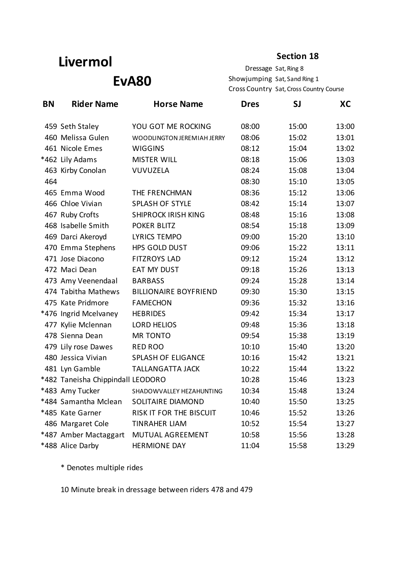# **Livermol**

#### **Section 18**

**EvA80** 

Dressage Sat, Ring 8 Showjumping Sat, Sand Ring 1 Cross Country Sat, Cross Country Course

| <b>BN</b> | <b>Rider Name</b>                 | <b>Horse Name</b>            | <b>Dres</b> | <b>SJ</b> | XC    |
|-----------|-----------------------------------|------------------------------|-------------|-----------|-------|
|           | 459 Seth Staley                   | YOU GOT ME ROCKING           | 08:00       | 15:00     | 13:00 |
|           | 460 Melissa Gulen                 | WOODLINGTON JEREMIAH JERRY   | 08:06       | 15:02     | 13:01 |
|           | 461 Nicole Emes                   | <b>WIGGINS</b>               | 08:12       | 15:04     | 13:02 |
|           | *462 Lily Adams                   | <b>MISTER WILL</b>           | 08:18       | 15:06     | 13:03 |
|           | 463 Kirby Conolan                 | VUVUZELA                     | 08:24       | 15:08     | 13:04 |
| 464       |                                   |                              | 08:30       | 15:10     | 13:05 |
|           | 465 Emma Wood                     | THE FRENCHMAN                | 08:36       | 15:12     | 13:06 |
|           | 466 Chloe Vivian                  | <b>SPLASH OF STYLE</b>       | 08:42       | 15:14     | 13:07 |
|           | 467 Ruby Crofts                   | <b>SHIPROCK IRISH KING</b>   | 08:48       | 15:16     | 13:08 |
|           | 468 Isabelle Smith                | <b>POKER BLITZ</b>           | 08:54       | 15:18     | 13:09 |
|           | 469 Darci Akeroyd                 | <b>LYRICS TEMPO</b>          | 09:00       | 15:20     | 13:10 |
|           | 470 Emma Stephens                 | HPS GOLD DUST                | 09:06       | 15:22     | 13:11 |
|           | 471 Jose Diacono                  | <b>FITZROYS LAD</b>          | 09:12       | 15:24     | 13:12 |
|           | 472 Maci Dean                     | <b>EAT MY DUST</b>           | 09:18       | 15:26     | 13:13 |
|           | 473 Amy Veenendaal                | <b>BARBASS</b>               | 09:24       | 15:28     | 13:14 |
|           | 474 Tabitha Mathews               | <b>BILLIONAIRE BOYFRIEND</b> | 09:30       | 15:30     | 13:15 |
|           | 475 Kate Pridmore                 | <b>FAMECHON</b>              | 09:36       | 15:32     | 13:16 |
|           | *476 Ingrid Mcelvaney             | <b>HEBRIDES</b>              | 09:42       | 15:34     | 13:17 |
|           | 477 Kylie Mclennan                | <b>LORD HELIOS</b>           | 09:48       | 15:36     | 13:18 |
|           | 478 Sienna Dean                   | <b>MR TONTO</b>              | 09:54       | 15:38     | 13:19 |
|           | 479 Lily rose Dawes               | <b>RED ROO</b>               | 10:10       | 15:40     | 13:20 |
|           | 480 Jessica Vivian                | <b>SPLASH OF ELIGANCE</b>    | 10:16       | 15:42     | 13:21 |
|           | 481 Lyn Gamble                    | <b>TALLANGATTA JACK</b>      | 10:22       | 15:44     | 13:22 |
|           | *482 Taneisha Chippindall LEODORO |                              | 10:28       | 15:46     | 13:23 |
|           | *483 Amy Tucker                   | SHADOWVALLEY HEZAHUNTING     | 10:34       | 15:48     | 13:24 |
|           | *484 Samantha Mclean              | <b>SOLITAIRE DIAMOND</b>     | 10:40       | 15:50     | 13:25 |
|           | *485 Kate Garner                  | RISK IT FOR THE BISCUIT      | 10:46       | 15:52     | 13:26 |
|           | 486 Margaret Cole                 | <b>TINRAHER LIAM</b>         | 10:52       | 15:54     | 13:27 |
|           | *487 Amber Mactaggart             | MUTUAL AGREEMENT             | 10:58       | 15:56     | 13:28 |
|           | *488 Alice Darby                  | <b>HERMIONE DAY</b>          | 11:04       | 15:58     | 13:29 |

\* Denotes multiple rides

10 Minute break in dressage between riders 478 and 479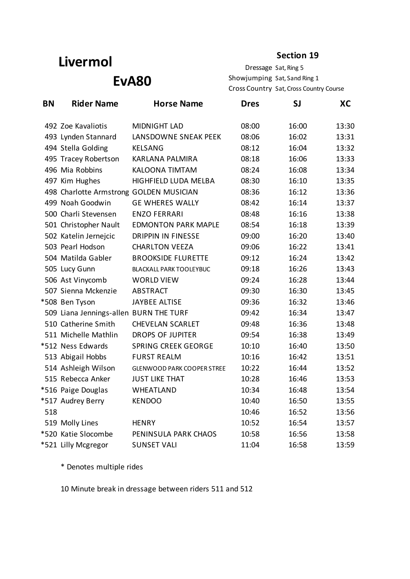# **Livermol**

#### **Section 19**

**EvA80** 

Dressage Sat, Ring 5 Showjumping Sat, Sand Ring 1 Cross Country Sat, Cross Country Course

| <b>BN</b> | <b>Rider Name</b>                       | <b>Horse Name</b>                 | <b>Dres</b> | SJ    | XC    |
|-----------|-----------------------------------------|-----------------------------------|-------------|-------|-------|
|           | 492 Zoe Kavaliotis                      | <b>MIDNIGHT LAD</b>               | 08:00       | 16:00 | 13:30 |
|           | 493 Lynden Stannard                     | LANSDOWNE SNEAK PEEK              | 08:06       | 16:02 | 13:31 |
|           | 494 Stella Golding                      | <b>KELSANG</b>                    | 08:12       | 16:04 | 13:32 |
|           | 495 Tracey Robertson                    | <b>KARLANA PALMIRA</b>            | 08:18       | 16:06 | 13:33 |
|           | 496 Mia Robbins                         | <b>KALOONA TIMTAM</b>             | 08:24       | 16:08 | 13:34 |
|           | 497 Kim Hughes                          | HIGHFIELD LUDA MELBA              | 08:30       | 16:10 | 13:35 |
|           | 498 Charlotte Armstrong GOLDEN MUSICIAN |                                   | 08:36       | 16:12 | 13:36 |
|           | 499 Noah Goodwin                        | <b>GE WHERES WALLY</b>            | 08:42       | 16:14 | 13:37 |
|           | 500 Charli Stevensen                    | <b>ENZO FERRARI</b>               | 08:48       | 16:16 | 13:38 |
|           | 501 Christopher Nault                   | <b>EDMONTON PARK MAPLE</b>        | 08:54       | 16:18 | 13:39 |
|           | 502 Katelin Jernejcic                   | <b>DRIPPIN IN FINESSE</b>         | 09:00       | 16:20 | 13:40 |
|           | 503 Pearl Hodson                        | <b>CHARLTON VEEZA</b>             | 09:06       | 16:22 | 13:41 |
|           | 504 Matilda Gabler                      | <b>BROOKSIDE FLURETTE</b>         | 09:12       | 16:24 | 13:42 |
|           | 505 Lucy Gunn                           | <b>BLACKALL PARK TOOLEYBUC</b>    | 09:18       | 16:26 | 13:43 |
|           | 506 Ast Vinycomb                        | <b>WORLD VIEW</b>                 | 09:24       | 16:28 | 13:44 |
|           | 507 Sienna Mckenzie                     | <b>ABSTRACT</b>                   | 09:30       | 16:30 | 13:45 |
|           | *508 Ben Tyson                          | <b>JAYBEE ALTISE</b>              | 09:36       | 16:32 | 13:46 |
|           | 509 Liana Jennings-allen BURN THE TURF  |                                   | 09:42       | 16:34 | 13:47 |
|           | 510 Catherine Smith                     | <b>CHEVELAN SCARLET</b>           | 09:48       | 16:36 | 13:48 |
|           | 511 Michelle Mathlin                    | <b>DROPS OF JUPITER</b>           | 09:54       | 16:38 | 13:49 |
|           | *512 Ness Edwards                       | <b>SPRING CREEK GEORGE</b>        | 10:10       | 16:40 | 13:50 |
|           | 513 Abigail Hobbs                       | <b>FURST REALM</b>                | 10:16       | 16:42 | 13:51 |
|           | 514 Ashleigh Wilson                     | <b>GLENWOOD PARK COOPER STREE</b> | 10:22       | 16:44 | 13:52 |
|           | 515 Rebecca Anker                       | <b>JUST LIKE THAT</b>             | 10:28       | 16:46 | 13:53 |
|           | *516 Paige Douglas                      | <b>WHEATLAND</b>                  | 10:34       | 16:48 | 13:54 |
|           | *517 Audrey Berry                       | <b>KENDOO</b>                     | 10:40       | 16:50 | 13:55 |
| 518       |                                         |                                   | 10:46       | 16:52 | 13:56 |
|           | 519 Molly Lines                         | <b>HENRY</b>                      | 10:52       | 16:54 | 13:57 |
|           | *520 Katie Slocombe                     | PENINSULA PARK CHAOS              | 10:58       | 16:56 | 13:58 |
|           | *521 Lilly Mcgregor                     | <b>SUNSET VALI</b>                | 11:04       | 16:58 | 13:59 |

\* Denotes multiple rides

10 Minute break in dressage between riders 511 and 512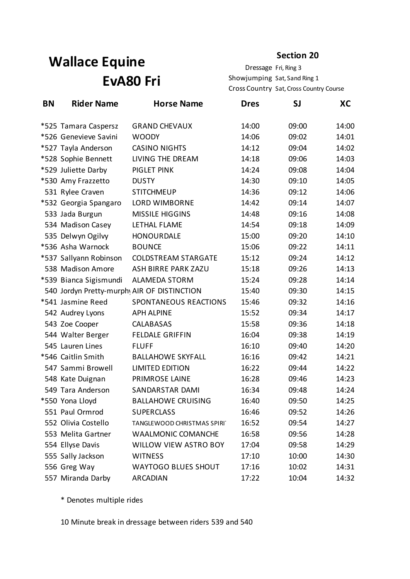# **Wallace Equine EvA80 Fri**

**Section 20**

Dressage Fri, Ring 3 Showjumping Sat, Sand Ring 1 Cross Country Sat, Cross Country Course

| <b>BN</b> | <b>Rider Name</b>      | <b>Horse Name</b>                           | <b>Dres</b> | SJ    | XС    |
|-----------|------------------------|---------------------------------------------|-------------|-------|-------|
|           | *525 Tamara Caspersz   | <b>GRAND CHEVAUX</b>                        | 14:00       | 09:00 | 14:00 |
|           | *526 Genevieve Savini  | <b>WOODY</b>                                | 14:06       | 09:02 | 14:01 |
|           | *527 Tayla Anderson    | <b>CASINO NIGHTS</b>                        | 14:12       | 09:04 | 14:02 |
|           | *528 Sophie Bennett    | LIVING THE DREAM                            | 14:18       | 09:06 | 14:03 |
|           | *529 Juliette Darby    | PIGLET PINK                                 | 14:24       | 09:08 | 14:04 |
|           | *530 Amy Frazzetto     | <b>DUSTY</b>                                | 14:30       | 09:10 | 14:05 |
|           | 531 Rylee Craven       | <b>STITCHMEUP</b>                           | 14:36       | 09:12 | 14:06 |
|           | *532 Georgia Spangaro  | <b>LORD WIMBORNE</b>                        | 14:42       | 09:14 | 14:07 |
|           | 533 Jada Burgun        | <b>MISSILE HIGGINS</b>                      | 14:48       | 09:16 | 14:08 |
|           | 534 Madison Casey      | LETHAL FLAME                                | 14:54       | 09:18 | 14:09 |
|           | 535 Delwyn Ogilvy      | <b>HONOURDALE</b>                           | 15:00       | 09:20 | 14:10 |
|           | *536 Asha Warnock      | <b>BOUNCE</b>                               | 15:06       | 09:22 | 14:11 |
|           | *537 Sallyann Robinson | <b>COLDSTREAM STARGATE</b>                  | 15:12       | 09:24 | 14:12 |
|           | 538 Madison Amore      | <b>ASH BIRRE PARK ZAZU</b>                  | 15:18       | 09:26 | 14:13 |
|           | *539 Bianca Sigismundi | <b>ALAMEDA STORM</b>                        | 15:24       | 09:28 | 14:14 |
|           |                        | 540 Jordyn Pretty-murphy AIR OF DISTINCTION | 15:40       | 09:30 | 14:15 |
|           | *541 Jasmine Reed      | SPONTANEOUS REACTIONS                       | 15:46       | 09:32 | 14:16 |
|           | 542 Audrey Lyons       | <b>APH ALPINE</b>                           | 15:52       | 09:34 | 14:17 |
|           | 543 Zoe Cooper         | CALABASAS                                   | 15:58       | 09:36 | 14:18 |
|           | 544 Walter Berger      | <b>FELDALE GRIFFIN</b>                      | 16:04       | 09:38 | 14:19 |
|           | 545 Lauren Lines       | <b>FLUFF</b>                                | 16:10       | 09:40 | 14:20 |
|           | *546 Caitlin Smith     | <b>BALLAHOWE SKYFALL</b>                    | 16:16       | 09:42 | 14:21 |
|           | 547 Sammi Browell      | <b>LIMITED EDITION</b>                      | 16:22       | 09:44 | 14:22 |
|           | 548 Kate Duignan       | PRIMROSE LAINE                              | 16:28       | 09:46 | 14:23 |
|           | 549 Tara Anderson      | SANDARSTAR DAMI                             | 16:34       | 09:48 | 14:24 |
|           | *550 Yona Lloyd        | <b>BALLAHOWE CRUISING</b>                   | 16:40       | 09:50 | 14:25 |
|           | 551 Paul Ormrod        | <b>SUPERCLASS</b>                           | 16:46       | 09:52 | 14:26 |
|           | 552 Olivia Costello    | TANGLEWOOD CHRISTMAS SPIRI                  | 16:52       | 09:54 | 14:27 |
|           | 553 Melita Gartner     | <b>WAALMONIC COMANCHE</b>                   | 16:58       | 09:56 | 14:28 |
|           | 554 Ellyse Davis       | WILLOW VIEW ASTRO BOY                       | 17:04       | 09:58 | 14:29 |
|           | 555 Sally Jackson      | <b>WITNESS</b>                              | 17:10       | 10:00 | 14:30 |
|           | 556 Greg Way           | <b>WAYTOGO BLUES SHOUT</b>                  | 17:16       | 10:02 | 14:31 |
|           | 557 Miranda Darby      | <b>ARCADIAN</b>                             | 17:22       | 10:04 | 14:32 |

\* Denotes multiple rides

10 Minute break in dressage between riders 539 and 540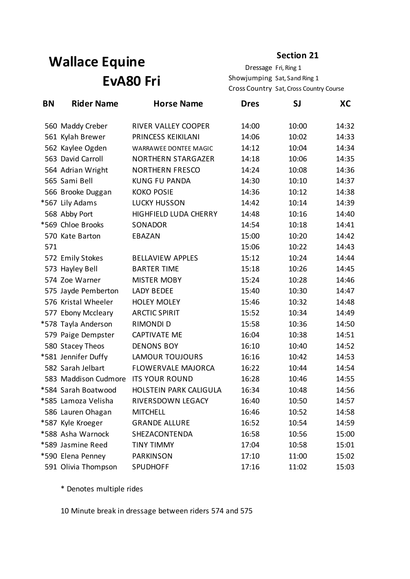# **Wallace Equine EvA80 Fri**

**Section 21**

Dressage Fri, Ring 1 Showjumping Sat, Sand Ring 1 Cross Country Sat, Cross Country Course

| BN  | <b>Rider Name</b>    | <b>Horse Name</b>         | <b>Dres</b> | SJ    | XC    |
|-----|----------------------|---------------------------|-------------|-------|-------|
|     | 560 Maddy Creber     | RIVER VALLEY COOPER       | 14:00       | 10:00 | 14:32 |
|     | 561 Kylah Brewer     | PRINCESS KEIKILANI        | 14:06       | 10:02 | 14:33 |
|     | 562 Kaylee Ogden     | WARRAWEE DONTEE MAGIC     | 14:12       | 10:04 | 14:34 |
|     | 563 David Carroll    | <b>NORTHERN STARGAZER</b> | 14:18       | 10:06 | 14:35 |
|     | 564 Adrian Wright    | <b>NORTHERN FRESCO</b>    | 14:24       | 10:08 | 14:36 |
|     | 565 Sami Bell        | <b>KUNG FU PANDA</b>      | 14:30       | 10:10 | 14:37 |
|     | 566 Brooke Duggan    | <b>KOKO POSIE</b>         | 14:36       | 10:12 | 14:38 |
|     | *567 Lily Adams      | <b>LUCKY HUSSON</b>       | 14:42       | 10:14 | 14:39 |
|     | 568 Abby Port        | HIGHFIELD LUDA CHERRY     | 14:48       | 10:16 | 14:40 |
|     | *569 Chloe Brooks    | SONADOR                   | 14:54       | 10:18 | 14:41 |
|     | 570 Kate Barton      | EBAZAN                    | 15:00       | 10:20 | 14:42 |
| 571 |                      |                           | 15:06       | 10:22 | 14:43 |
|     | 572 Emily Stokes     | <b>BELLAVIEW APPLES</b>   | 15:12       | 10:24 | 14:44 |
|     | 573 Hayley Bell      | <b>BARTER TIME</b>        | 15:18       | 10:26 | 14:45 |
|     | 574 Zoe Warner       | <b>MISTER MOBY</b>        | 15:24       | 10:28 | 14:46 |
|     | 575 Jayde Pemberton  | <b>LADY BEDEE</b>         | 15:40       | 10:30 | 14:47 |
|     | 576 Kristal Wheeler  | <b>HOLEY MOLEY</b>        | 15:46       | 10:32 | 14:48 |
|     | 577 Ebony Mccleary   | <b>ARCTIC SPIRIT</b>      | 15:52       | 10:34 | 14:49 |
|     | *578 Tayla Anderson  | <b>RIMONDI D</b>          | 15:58       | 10:36 | 14:50 |
|     | 579 Paige Dempster   | <b>CAPTIVATE ME</b>       | 16:04       | 10:38 | 14:51 |
|     | 580 Stacey Theos     | <b>DENONS BOY</b>         | 16:10       | 10:40 | 14:52 |
|     | *581 Jennifer Duffy  | <b>LAMOUR TOUJOURS</b>    | 16:16       | 10:42 | 14:53 |
|     | 582 Sarah Jelbart    | <b>FLOWERVALE MAJORCA</b> | 16:22       | 10:44 | 14:54 |
|     | 583 Maddison Cudmore | <b>ITS YOUR ROUND</b>     | 16:28       | 10:46 | 14:55 |
|     | *584 Sarah Boatwood  | HOLSTEIN PARK CALIGULA    | 16:34       | 10:48 | 14:56 |
|     | *585 Lamoza Velisha  | <b>RIVERSDOWN LEGACY</b>  | 16:40       | 10:50 | 14:57 |
|     | 586 Lauren Ohagan    | <b>MITCHELL</b>           | 16:46       | 10:52 | 14:58 |
|     | *587 Kyle Kroeger    | <b>GRANDE ALLURE</b>      | 16:52       | 10:54 | 14:59 |
|     | *588 Asha Warnock    | SHEZACONTENDA             | 16:58       | 10:56 | 15:00 |
|     | *589 Jasmine Reed    | <b>TINY TIMMY</b>         | 17:04       | 10:58 | 15:01 |
|     | *590 Elena Penney    | <b>PARKINSON</b>          | 17:10       | 11:00 | 15:02 |
|     | 591 Olivia Thompson  | <b>SPUDHOFF</b>           | 17:16       | 11:02 | 15:03 |

\* Denotes multiple rides

10 Minute break in dressage between riders 574 and 575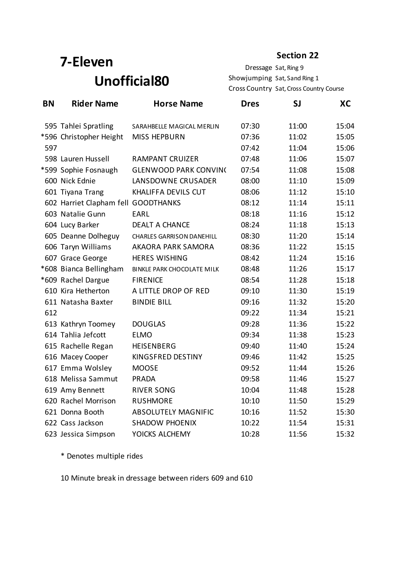# **7-Eleven Unofficial80**

**Section 22**

Dressage Sat, Ring 9 Showjumping Sat, Sand Ring 1 Cross Country Sat, Cross Country Course

| <b>BN</b> | <b>Rider Name</b>                   | <b>Horse Name</b>                 | <b>Dres</b> | <b>SJ</b> | <b>XC</b> |
|-----------|-------------------------------------|-----------------------------------|-------------|-----------|-----------|
|           | 595 Tahlei Spratling                | SARAHBELLE MAGICAL MERLIN         | 07:30       | 11:00     | 15:04     |
|           | *596 Christopher Height             | <b>MISS HEPBURN</b>               | 07:36       | 11:02     | 15:05     |
| 597       |                                     |                                   | 07:42       | 11:04     | 15:06     |
|           | 598 Lauren Hussell                  | <b>RAMPANT CRUIZER</b>            | 07:48       | 11:06     | 15:07     |
|           | *599 Sophie Fosnaugh                | <b>GLENWOOD PARK CONVIN(</b>      | 07:54       | 11:08     | 15:08     |
|           | 600 Nick Ednie                      | LANSDOWNE CRUSADER                | 08:00       | 11:10     | 15:09     |
|           | 601 Tiyana Trang                    | KHALIFFA DEVILS CUT               | 08:06       | 11:12     | 15:10     |
|           | 602 Harriet Clapham fell GOODTHANKS |                                   | 08:12       | 11:14     | 15:11     |
|           | 603 Natalie Gunn                    | EARL                              | 08:18       | 11:16     | 15:12     |
|           | 604 Lucy Barker                     | <b>DEALT A CHANCE</b>             | 08:24       | 11:18     | 15:13     |
|           | 605 Deanne Dolheguy                 | <b>CHARLES GARRISON DANEHILL</b>  | 08:30       | 11:20     | 15:14     |
|           | 606 Taryn Williams                  | <b>AKAORA PARK SAMORA</b>         | 08:36       | 11:22     | 15:15     |
|           | 607 Grace George                    | <b>HERES WISHING</b>              | 08:42       | 11:24     | 15:16     |
|           | *608 Bianca Bellingham              | <b>BINKLE PARK CHOCOLATE MILK</b> | 08:48       | 11:26     | 15:17     |
|           | *609 Rachel Dargue                  | <b>FIRENICE</b>                   | 08:54       | 11:28     | 15:18     |
|           | 610 Kira Hetherton                  | A LITTLE DROP OF RED              | 09:10       | 11:30     | 15:19     |
|           | 611 Natasha Baxter                  | <b>BINDIE BILL</b>                | 09:16       | 11:32     | 15:20     |
| 612       |                                     |                                   | 09:22       | 11:34     | 15:21     |
|           | 613 Kathryn Toomey                  | <b>DOUGLAS</b>                    | 09:28       | 11:36     | 15:22     |
|           | 614 Tahlia Jefcott                  | <b>ELMO</b>                       | 09:34       | 11:38     | 15:23     |
|           | 615 Rachelle Regan                  | <b>HEISENBERG</b>                 | 09:40       | 11:40     | 15:24     |
|           | 616 Macey Cooper                    | KINGSFRED DESTINY                 | 09:46       | 11:42     | 15:25     |
|           | 617 Emma Wolsley                    | <b>MOOSE</b>                      | 09:52       | 11:44     | 15:26     |
|           | 618 Melissa Sammut                  | PRADA                             | 09:58       | 11:46     | 15:27     |
|           | 619 Amy Bennett                     | <b>RIVER SONG</b>                 | 10:04       | 11:48     | 15:28     |
|           | 620 Rachel Morrison                 | <b>RUSHMORE</b>                   | 10:10       | 11:50     | 15:29     |
|           | 621 Donna Booth                     | <b>ABSOLUTELY MAGNIFIC</b>        | 10:16       | 11:52     | 15:30     |
|           | 622 Cass Jackson                    | <b>SHADOW PHOENIX</b>             | 10:22       | 11:54     | 15:31     |
|           | 623 Jessica Simpson                 | YOICKS ALCHEMY                    | 10:28       | 11:56     | 15:32     |

\* Denotes multiple rides

10 Minute break in dressage between riders 609 and 610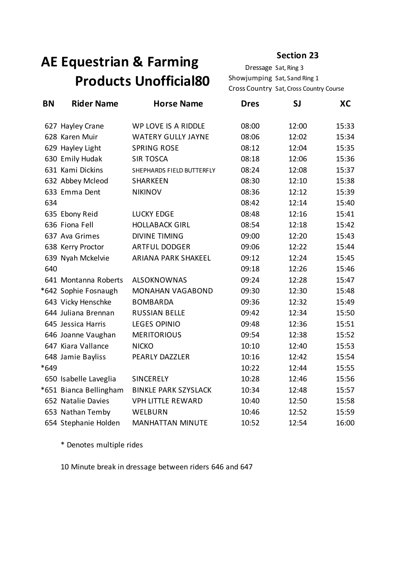# **AE Equestrian & Farming Products Unofficial80**

Dressage Sat, Ring 3 Showjumping Sat, Sand Ring 1 Cross Country Sat, Cross Country Course

| <b>BN</b> | <b>Rider Name</b>      | <b>Horse Name</b>           | <b>Dres</b> | <b>SJ</b> | <b>XC</b> |
|-----------|------------------------|-----------------------------|-------------|-----------|-----------|
|           | 627 Hayley Crane       | WP LOVE IS A RIDDLE         | 08:00       | 12:00     | 15:33     |
|           | 628 Karen Muir         | <b>WATERY GULLY JAYNE</b>   | 08:06       | 12:02     | 15:34     |
|           | 629 Hayley Light       | <b>SPRING ROSE</b>          | 08:12       | 12:04     | 15:35     |
|           | 630 Emily Hudak        | <b>SIR TOSCA</b>            | 08:18       | 12:06     | 15:36     |
|           | 631 Kami Dickins       | SHEPHARDS FIELD BUTTERFLY   | 08:24       | 12:08     | 15:37     |
|           | 632 Abbey Mcleod       | SHARKEEN                    | 08:30       | 12:10     | 15:38     |
|           | 633 Emma Dent          | <b>NIKINOV</b>              | 08:36       | 12:12     | 15:39     |
| 634       |                        |                             | 08:42       | 12:14     | 15:40     |
|           | 635 Ebony Reid         | <b>LUCKY EDGE</b>           | 08:48       | 12:16     | 15:41     |
|           | 636 Fiona Fell         | <b>HOLLABACK GIRL</b>       | 08:54       | 12:18     | 15:42     |
|           | 637 Ava Grimes         | <b>DIVINE TIMING</b>        | 09:00       | 12:20     | 15:43     |
|           | 638 Kerry Proctor      | ARTFUL DODGER               | 09:06       | 12:22     | 15:44     |
|           | 639 Nyah Mckelvie      | ARIANA PARK SHAKEEL         | 09:12       | 12:24     | 15:45     |
| 640       |                        |                             | 09:18       | 12:26     | 15:46     |
|           | 641 Montanna Roberts   | <b>ALSOKNOWNAS</b>          | 09:24       | 12:28     | 15:47     |
|           | *642 Sophie Fosnaugh   | <b>MONAHAN VAGABOND</b>     | 09:30       | 12:30     | 15:48     |
|           | 643 Vicky Henschke     | <b>BOMBARDA</b>             | 09:36       | 12:32     | 15:49     |
|           | 644 Juliana Brennan    | <b>RUSSIAN BELLE</b>        | 09:42       | 12:34     | 15:50     |
|           | 645 Jessica Harris     | <b>LEGES OPINIO</b>         | 09:48       | 12:36     | 15:51     |
|           | 646 Joanne Vaughan     | <b>MERITORIOUS</b>          | 09:54       | 12:38     | 15:52     |
|           | 647 Kiara Vallance     | <b>NICKO</b>                | 10:10       | 12:40     | 15:53     |
|           | 648 Jamie Bayliss      | PEARLY DAZZLER              | 10:16       | 12:42     | 15:54     |
| *649      |                        |                             | 10:22       | 12:44     | 15:55     |
|           | 650 Isabelle Laveglia  | <b>SINCERELY</b>            | 10:28       | 12:46     | 15:56     |
|           | *651 Bianca Bellingham | <b>BINKLE PARK SZYSLACK</b> | 10:34       | 12:48     | 15:57     |
|           | 652 Natalie Davies     | <b>VPH LITTLE REWARD</b>    | 10:40       | 12:50     | 15:58     |
|           | 653 Nathan Temby       | WELBURN                     | 10:46       | 12:52     | 15:59     |
|           | 654 Stephanie Holden   | <b>MANHATTAN MINUTE</b>     | 10:52       | 12:54     | 16:00     |

\* Denotes multiple rides

10 Minute break in dressage between riders 646 and 647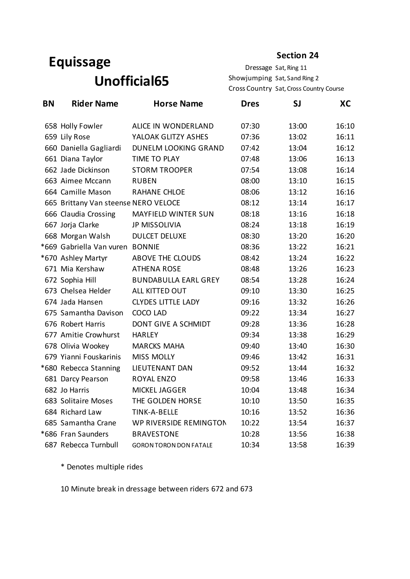## **Equissage Unofficial65**

**Section 24**

Dressage Sat, Ring 11 Showjumping Sat, Sand Ring 2 Cross Country Sat, Cross Country Course

| <b>BN</b> | <b>Rider Name</b>                    | <b>Horse Name</b>             | <b>Dres</b> | <b>SJ</b> | <b>XC</b> |
|-----------|--------------------------------------|-------------------------------|-------------|-----------|-----------|
|           | 658 Holly Fowler                     | ALICE IN WONDERLAND           | 07:30       | 13:00     | 16:10     |
|           | 659 Lily Rose                        | YALOAK GLITZY ASHES           | 07:36       | 13:02     | 16:11     |
|           | 660 Daniella Gagliardi               | <b>DUNELM LOOKING GRAND</b>   | 07:42       | 13:04     | 16:12     |
|           | 661 Diana Taylor                     | TIME TO PLAY                  | 07:48       | 13:06     | 16:13     |
|           | 662 Jade Dickinson                   | <b>STORM TROOPER</b>          | 07:54       | 13:08     | 16:14     |
|           | 663 Aimee Mccann                     | <b>RUBEN</b>                  | 08:00       | 13:10     | 16:15     |
|           | 664 Camille Mason                    | <b>RAHANE CHLOE</b>           | 08:06       | 13:12     | 16:16     |
|           | 665 Brittany Van steense NERO VELOCE |                               | 08:12       | 13:14     | 16:17     |
|           | 666 Claudia Crossing                 | <b>MAYFIELD WINTER SUN</b>    | 08:18       | 13:16     | 16:18     |
|           | 667 Jorja Clarke                     | <b>JP MISSOLIVIA</b>          | 08:24       | 13:18     | 16:19     |
|           | 668 Morgan Walsh                     | <b>DULCET DELUXE</b>          | 08:30       | 13:20     | 16:20     |
|           | *669 Gabriella Van vuren             | <b>BONNIE</b>                 | 08:36       | 13:22     | 16:21     |
|           | *670 Ashley Martyr                   | ABOVE THE CLOUDS              | 08:42       | 13:24     | 16:22     |
|           | 671 Mia Kershaw                      | <b>ATHENA ROSE</b>            | 08:48       | 13:26     | 16:23     |
|           | 672 Sophia Hill                      | <b>BUNDABULLA EARL GREY</b>   | 08:54       | 13:28     | 16:24     |
|           | 673 Chelsea Helder                   | ALL KITTED OUT                | 09:10       | 13:30     | 16:25     |
|           | 674 Jada Hansen                      | <b>CLYDES LITTLE LADY</b>     | 09:16       | 13:32     | 16:26     |
|           | 675 Samantha Davison                 | COCO LAD                      | 09:22       | 13:34     | 16:27     |
|           | 676 Robert Harris                    | DONT GIVE A SCHMIDT           | 09:28       | 13:36     | 16:28     |
|           | 677 Amitie Crowhurst                 | <b>HARLEY</b>                 | 09:34       | 13:38     | 16:29     |
|           | 678 Olivia Wookey                    | <b>MARCKS MAHA</b>            | 09:40       | 13:40     | 16:30     |
|           | 679 Yianni Fouskarinis               | <b>MISS MOLLY</b>             | 09:46       | 13:42     | 16:31     |
|           | *680 Rebecca Stanning                | LIEUTENANT DAN                | 09:52       | 13:44     | 16:32     |
|           | 681 Darcy Pearson                    | <b>ROYAL ENZO</b>             | 09:58       | 13:46     | 16:33     |
|           | 682 Jo Harris                        | MICKEL JAGGER                 | 10:04       | 13:48     | 16:34     |
|           | 683 Solitaire Moses                  | THE GOLDEN HORSE              | 10:10       | 13:50     | 16:35     |
|           | 684 Richard Law                      | TINK-A-BELLE                  | 10:16       | 13:52     | 16:36     |
|           | 685 Samantha Crane                   | WP RIVERSIDE REMINGTON        | 10:22       | 13:54     | 16:37     |
|           | *686 Fran Saunders                   | <b>BRAVESTONE</b>             | 10:28       | 13:56     | 16:38     |
|           | 687 Rebecca Turnbull                 | <b>GORON TORON DON FATALE</b> | 10:34       | 13:58     | 16:39     |

\* Denotes multiple rides

10 Minute break in dressage between riders 672 and 673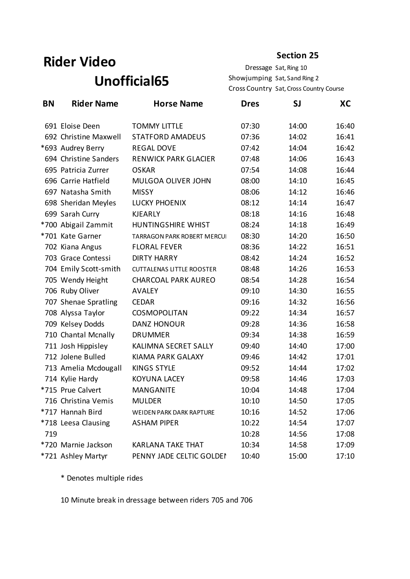## **Rider Video Unofficial65**

#### **Section 25**

Dressage Sat, Ring 10 Showjumping Sat, Sand Ring 2 Cross Country Sat, Cross Country Course

| <b>BN</b> | <b>Rider Name</b>     | <b>Horse Name</b>                | <b>Dres</b> | SJ    | XС    |
|-----------|-----------------------|----------------------------------|-------------|-------|-------|
|           | 691 Eloise Deen       | <b>TOMMY LITTLE</b>              | 07:30       | 14:00 | 16:40 |
|           | 692 Christine Maxwell | <b>STATFORD AMADEUS</b>          | 07:36       | 14:02 | 16:41 |
|           | *693 Audrey Berry     | <b>REGAL DOVE</b>                | 07:42       | 14:04 | 16:42 |
|           | 694 Christine Sanders | <b>RENWICK PARK GLACIER</b>      | 07:48       | 14:06 | 16:43 |
|           | 695 Patricia Zurrer   | <b>OSKAR</b>                     | 07:54       | 14:08 | 16:44 |
|           | 696 Carrie Hatfield   | MULGOA OLIVER JOHN               | 08:00       | 14:10 | 16:45 |
|           | 697 Natasha Smith     | <b>MISSY</b>                     | 08:06       | 14:12 | 16:46 |
|           | 698 Sheridan Meyles   | <b>LUCKY PHOENIX</b>             | 08:12       | 14:14 | 16:47 |
|           | 699 Sarah Curry       | <b>KJEARLY</b>                   | 08:18       | 14:16 | 16:48 |
|           | *700 Abigail Zammit   | HUNTINGSHIRE WHIST               | 08:24       | 14:18 | 16:49 |
|           | *701 Kate Garner      | TARRAGON PARK ROBERT MERCUI      | 08:30       | 14:20 | 16:50 |
|           | 702 Kiana Angus       | <b>FLORAL FEVER</b>              | 08:36       | 14:22 | 16:51 |
|           | 703 Grace Contessi    | <b>DIRTY HARRY</b>               | 08:42       | 14:24 | 16:52 |
|           | 704 Emily Scott-smith | <b>CUTTALENAS LITTLE ROOSTER</b> | 08:48       | 14:26 | 16:53 |
|           | 705 Wendy Height      | <b>CHARCOAL PARK AUREO</b>       | 08:54       | 14:28 | 16:54 |
|           | 706 Ruby Oliver       | <b>AVALEY</b>                    | 09:10       | 14:30 | 16:55 |
|           | 707 Shenae Spratling  | <b>CEDAR</b>                     | 09:16       | 14:32 | 16:56 |
|           | 708 Alyssa Taylor     | COSMOPOLITAN                     | 09:22       | 14:34 | 16:57 |
|           | 709 Kelsey Dodds      | DANZ HONOUR                      | 09:28       | 14:36 | 16:58 |
|           | 710 Chantal Mcnally   | <b>DRUMMER</b>                   | 09:34       | 14:38 | 16:59 |
|           | 711 Josh Hippisley    | KALIMNA SECRET SALLY             | 09:40       | 14:40 | 17:00 |
|           | 712 Jolene Bulled     | <b>KIAMA PARK GALAXY</b>         | 09:46       | 14:42 | 17:01 |
|           | 713 Amelia Mcdougall  | <b>KINGS STYLE</b>               | 09:52       | 14:44 | 17:02 |
|           | 714 Kylie Hardy       | <b>KOYUNA LACEY</b>              | 09:58       | 14:46 | 17:03 |
|           | *715 Prue Calvert     | <b>MANGANITE</b>                 | 10:04       | 14:48 | 17:04 |
|           | 716 Christina Vemis   | <b>MULDER</b>                    | 10:10       | 14:50 | 17:05 |
|           | *717 Hannah Bird      | <b>WEIDEN PARK DARK RAPTURE</b>  | 10:16       | 14:52 | 17:06 |
|           | *718 Leesa Clausing   | <b>ASHAM PIPER</b>               | 10:22       | 14:54 | 17:07 |
| 719       |                       |                                  | 10:28       | 14:56 | 17:08 |
|           | *720 Marnie Jackson   | <b>KARLANA TAKE THAT</b>         | 10:34       | 14:58 | 17:09 |
|           | *721 Ashley Martyr    | PENNY JADE CELTIC GOLDEI         | 10:40       | 15:00 | 17:10 |

\* Denotes multiple rides

10 Minute break in dressage between riders 705 and 706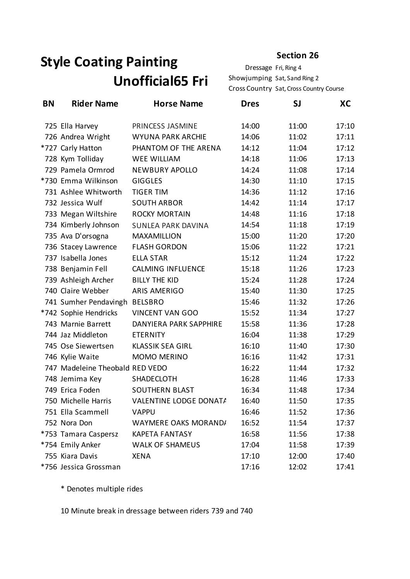# **Style Coating Painting Unofficial65 Fri**

Dressage Fri, Ring 4 Showjumping Sat, Sand Ring 2 Cross Country Sat, Cross Country Course

| BN | <b>Rider Name</b>               | <b>Horse Name</b>         | <b>Dres</b> | <b>SJ</b> | XС    |
|----|---------------------------------|---------------------------|-------------|-----------|-------|
|    | 725 Ella Harvey                 | PRINCESS JASMINE          | 14:00       | 11:00     | 17:10 |
|    | 726 Andrea Wright               | WYUNA PARK ARCHIE         | 14:06       | 11:02     | 17:11 |
|    | *727 Carly Hatton               | PHANTOM OF THE ARENA      | 14:12       | 11:04     | 17:12 |
|    | 728 Kym Tolliday                | <b>WEE WILLIAM</b>        | 14:18       | 11:06     | 17:13 |
|    | 729 Pamela Ormrod               | <b>NEWBURY APOLLO</b>     | 14:24       | 11:08     | 17:14 |
|    | *730 Emma Wilkinson             | <b>GIGGLES</b>            | 14:30       | 11:10     | 17:15 |
|    | 731 Ashlee Whitworth            | <b>TIGER TIM</b>          | 14:36       | 11:12     | 17:16 |
|    | 732 Jessica Wulf                | <b>SOUTH ARBOR</b>        | 14:42       | 11:14     | 17:17 |
|    | 733 Megan Wiltshire             | <b>ROCKY MORTAIN</b>      | 14:48       | 11:16     | 17:18 |
|    | 734 Kimberly Johnson            | <b>SUNLEA PARK DAVINA</b> | 14:54       | 11:18     | 17:19 |
|    | 735 Ava D'orsogna               | MAXAMILLION               | 15:00       | 11:20     | 17:20 |
|    | 736 Stacey Lawrence             | <b>FLASH GORDON</b>       | 15:06       | 11:22     | 17:21 |
|    | 737 Isabella Jones              | <b>ELLA STAR</b>          | 15:12       | 11:24     | 17:22 |
|    | 738 Benjamin Fell               | <b>CALMING INFLUENCE</b>  | 15:18       | 11:26     | 17:23 |
|    | 739 Ashleigh Archer             | <b>BILLY THE KID</b>      | 15:24       | 11:28     | 17:24 |
|    | 740 Claire Webber               | <b>ARIS AMERIGO</b>       | 15:40       | 11:30     | 17:25 |
|    | 741 Sumher Pendavingh BELSBRO   |                           | 15:46       | 11:32     | 17:26 |
|    | *742 Sophie Hendricks           | <b>VINCENT VAN GOO</b>    | 15:52       | 11:34     | 17:27 |
|    | 743 Marnie Barrett              | DANYIERA PARK SAPPHIRE    | 15:58       | 11:36     | 17:28 |
|    | 744 Jaz Middleton               | <b>ETERNITY</b>           | 16:04       | 11:38     | 17:29 |
|    | 745 Ose Siewertsen              | <b>KLASSIK SEA GIRL</b>   | 16:10       | 11:40     | 17:30 |
|    | 746 Kylie Waite                 | MOMO MERINO               | 16:16       | 11:42     | 17:31 |
|    | 747 Madeleine Theobald RED VEDO |                           | 16:22       | 11:44     | 17:32 |
|    | 748 Jemima Key                  | SHADECLOTH                | 16:28       | 11:46     | 17:33 |
|    | 749 Erica Foden                 | <b>SOUTHERN BLAST</b>     | 16:34       | 11:48     | 17:34 |
|    | 750 Michelle Harris             | VALENTINE LODGE DONATA    | 16:40       | 11:50     | 17:35 |
|    | 751 Ella Scammell               | <b>VAPPU</b>              | 16:46       | 11:52     | 17:36 |
|    | 752 Nora Don                    | WAYMERE OAKS MORAND/      | 16:52       | 11:54     | 17:37 |
|    | *753 Tamara Caspersz            | <b>KAPETA FANTASY</b>     | 16:58       | 11:56     | 17:38 |
|    | *754 Emily Anker                | <b>WALK OF SHAMEUS</b>    | 17:04       | 11:58     | 17:39 |
|    | 755 Kiara Davis                 | <b>XENA</b>               | 17:10       | 12:00     | 17:40 |
|    | *756 Jessica Grossman           |                           | 17:16       | 12:02     | 17:41 |

\* Denotes multiple rides

10 Minute break in dressage between riders 739 and 740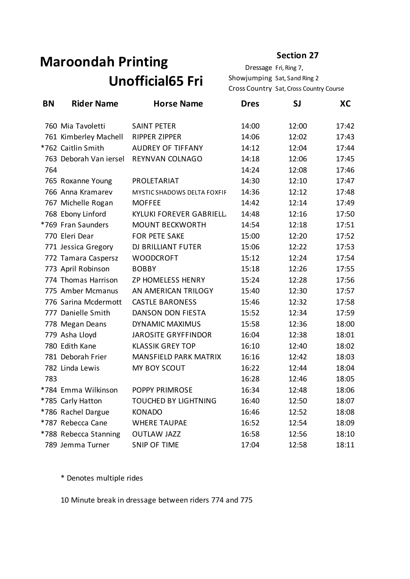# **Maroondah Printing Unofficial65 Fri**

Dressage Fri, Ring 7, Showjumping Sat, Sand Ring 2 Cross Country Sat, Cross Country Course

| <b>BN</b> | <b>Rider Name</b>      | <b>Horse Name</b>              | <b>Dres</b> | SJ    | XC    |
|-----------|------------------------|--------------------------------|-------------|-------|-------|
|           | 760 Mia Tavoletti      | <b>SAINT PETER</b>             | 14:00       | 12:00 | 17:42 |
|           | 761 Kimberley Machell  | <b>RIPPER ZIPPER</b>           | 14:06       | 12:02 | 17:43 |
|           | *762 Caitlin Smith     | <b>AUDREY OF TIFFANY</b>       | 14:12       | 12:04 | 17:44 |
|           | 763 Deborah Van iersel | REYNVAN COLNAGO                | 14:18       | 12:06 | 17:45 |
| 764       |                        |                                | 14:24       | 12:08 | 17:46 |
|           | 765 Roxanne Young      | PROLETARIAT                    | 14:30       | 12:10 | 17:47 |
|           | 766 Anna Kramarev      | MYSTIC SHADOWS DELTA FOXFIF    | 14:36       | 12:12 | 17:48 |
|           | 767 Michelle Rogan     | <b>MOFFEE</b>                  | 14:42       | 12:14 | 17:49 |
|           | 768 Ebony Linford      | <b>KYLUKI FOREVER GABRIELL</b> | 14:48       | 12:16 | 17:50 |
|           | *769 Fran Saunders     | <b>MOUNT BECKWORTH</b>         | 14:54       | 12:18 | 17:51 |
|           | 770 Eleri Dear         | <b>FOR PETE SAKE</b>           | 15:00       | 12:20 | 17:52 |
|           | 771 Jessica Gregory    | <b>DJ BRILLIANT FUTER</b>      | 15:06       | 12:22 | 17:53 |
|           | 772 Tamara Caspersz    | <b>WOODCROFT</b>               | 15:12       | 12:24 | 17:54 |
|           | 773 April Robinson     | <b>BOBBY</b>                   | 15:18       | 12:26 | 17:55 |
|           | 774 Thomas Harrison    | ZP HOMELESS HENRY              | 15:24       | 12:28 | 17:56 |
|           | 775 Amber Mcmanus      | AN AMERICAN TRILOGY            | 15:40       | 12:30 | 17:57 |
|           | 776 Sarina Mcdermott   | <b>CASTLE BARONESS</b>         | 15:46       | 12:32 | 17:58 |
|           | 777 Danielle Smith     | DANSON DON FIESTA              | 15:52       | 12:34 | 17:59 |
|           | 778 Megan Deans        | <b>DYNAMIC MAXIMUS</b>         | 15:58       | 12:36 | 18:00 |
|           | 779 Asha Lloyd         | <b>JAROSITE GRYFFINDOR</b>     | 16:04       | 12:38 | 18:01 |
|           | 780 Edith Kane         | <b>KLASSIK GREY TOP</b>        | 16:10       | 12:40 | 18:02 |
|           | 781 Deborah Frier      | MANSFIELD PARK MATRIX          | 16:16       | 12:42 | 18:03 |
|           | 782 Linda Lewis        | MY BOY SCOUT                   | 16:22       | 12:44 | 18:04 |
| 783       |                        |                                | 16:28       | 12:46 | 18:05 |
|           | *784 Emma Wilkinson    | POPPY PRIMROSE                 | 16:34       | 12:48 | 18:06 |
|           | *785 Carly Hatton      | <b>TOUCHED BY LIGHTNING</b>    | 16:40       | 12:50 | 18:07 |
|           | *786 Rachel Dargue     | <b>KONADO</b>                  | 16:46       | 12:52 | 18:08 |
|           | *787 Rebecca Cane      | <b>WHERE TAUPAE</b>            | 16:52       | 12:54 | 18:09 |
|           | *788 Rebecca Stanning  | <b>OUTLAW JAZZ</b>             | 16:58       | 12:56 | 18:10 |
|           | 789 Jemma Turner       | <b>SNIP OF TIME</b>            | 17:04       | 12:58 | 18:11 |

\* Denotes multiple rides

10 Minute break in dressage between riders 774 and 775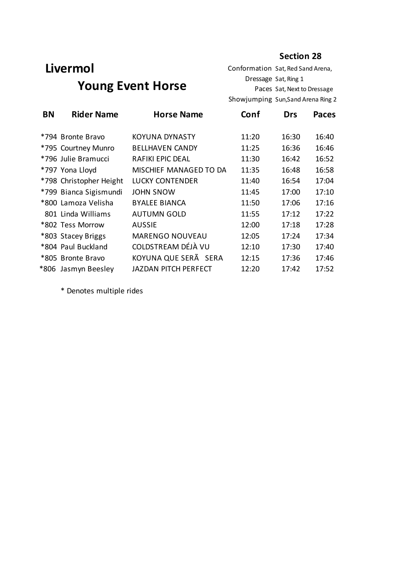## **Livermol Young Event Horse**

Conformation Sat, Red Sand Arena, Dressage Sat, Ring 1 Paces Sat, Next to Dressage Showjumping Sun,Sand Arena Ring 2

| <b>BN</b> | <b>Rider Name</b>       | <b>Horse Name</b>           | Conf  | <b>Drs</b> | <b>Paces</b> |
|-----------|-------------------------|-----------------------------|-------|------------|--------------|
|           | *794 Bronte Bravo       | <b>KOYUNA DYNASTY</b>       | 11:20 | 16:30      | 16:40        |
|           | *795 Courtney Munro     | <b>BELLHAVEN CANDY</b>      | 11:25 | 16:36      | 16:46        |
|           | *796 Julie Bramucci     | <b>RAFIKI EPIC DEAL</b>     | 11:30 | 16:42      | 16:52        |
|           | *797 Yona Lloyd         | MISCHIEF MANAGED TO DA      | 11:35 | 16:48      | 16:58        |
|           | *798 Christopher Height | <b>LUCKY CONTENDER</b>      | 11:40 | 16:54      | 17:04        |
|           | *799 Bianca Sigismundi  | <b>JOHN SNOW</b>            | 11:45 | 17:00      | 17:10        |
|           | *800 Lamoza Velisha     | <b>BYALEE BIANCA</b>        | 11:50 | 17:06      | 17:16        |
|           | 801 Linda Williams      | <b>AUTUMN GOLD</b>          | 11:55 | 17:12      | 17:22        |
|           | *802 Tess Morrow        | <b>AUSSIE</b>               | 12:00 | 17:18      | 17:28        |
|           | *803 Stacey Briggs      | <b>MARENGO NOUVEAU</b>      | 12:05 | 17:24      | 17:34        |
|           | *804 Paul Buckland      | COLDSTREAM DÉJÀ VU          | 12:10 | 17:30      | 17:40        |
|           | *805 Bronte Bravo       | KOYUNA QUE SERÃ SERA        | 12:15 | 17:36      | 17:46        |
|           | *806 Jasmyn Beesley     | <b>JAZDAN PITCH PERFECT</b> | 12:20 | 17:42      | 17:52        |

\* Denotes multiple rides